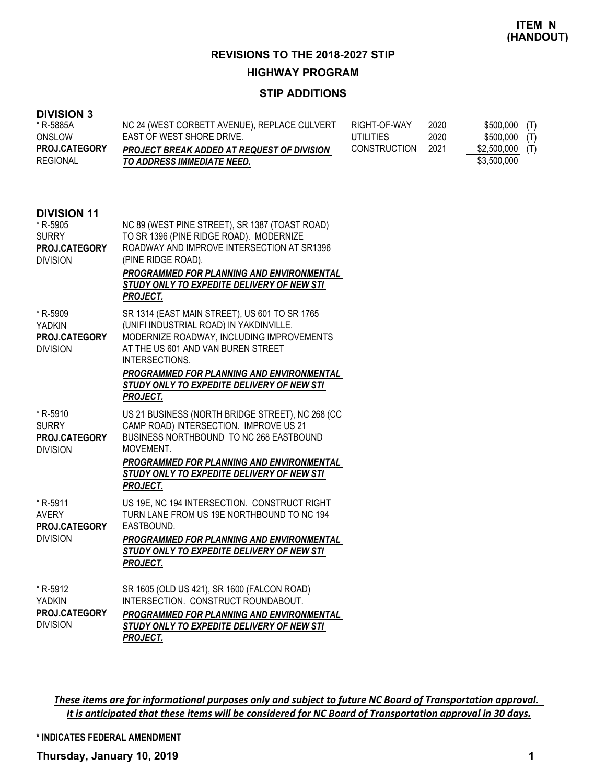**HIGHWAY PROGRAM**

### **STIP ADDITIONS**

| <b>DIVISION 3</b><br>* R-5885A<br><b>ONSLOW</b><br>PROJ.CATEGORY<br><b>REGIONAL</b> | NC 24 (WEST CORBETT AVENUE), REPLACE CULVERT<br>EAST OF WEST SHORE DRIVE.<br>PROJECT BREAK ADDED AT REQUEST OF DIVISION<br>TO ADDRESS IMMEDIATE NEED.                                                                                                                                                       | RIGHT-OF-WAY<br><b>UTILITIES</b><br>CONSTRUCTION | 2020<br>2020<br>2021 | \$500,000<br>$$500,000$ (T)<br>\$2,500,000<br>\$3,500,000 | (T)<br>(T) |
|-------------------------------------------------------------------------------------|-------------------------------------------------------------------------------------------------------------------------------------------------------------------------------------------------------------------------------------------------------------------------------------------------------------|--------------------------------------------------|----------------------|-----------------------------------------------------------|------------|
| <b>DIVISION 11</b><br>* R-5905<br><b>SURRY</b><br>PROJ.CATEGORY<br><b>DIVISION</b>  | NC 89 (WEST PINE STREET), SR 1387 (TOAST ROAD)<br>TO SR 1396 (PINE RIDGE ROAD). MODERNIZE<br>ROADWAY AND IMPROVE INTERSECTION AT SR1396<br>(PINE RIDGE ROAD).<br>PROGRAMMED FOR PLANNING AND ENVIRONMENTAL<br>STUDY ONLY TO EXPEDITE DELIVERY OF NEW STI<br><b>PROJECT.</b>                                 |                                                  |                      |                                                           |            |
| * R-5909<br><b>YADKIN</b><br>PROJ.CATEGORY<br><b>DIVISION</b>                       | SR 1314 (EAST MAIN STREET), US 601 TO SR 1765<br>(UNIFI INDUSTRIAL ROAD) IN YAKDINVILLE.<br>MODERNIZE ROADWAY, INCLUDING IMPROVEMENTS<br>AT THE US 601 AND VAN BUREN STREET<br>INTERSECTIONS.<br>PROGRAMMED FOR PLANNING AND ENVIRONMENTAL<br>STUDY ONLY TO EXPEDITE DELIVERY OF NEW STI<br><b>PROJECT.</b> |                                                  |                      |                                                           |            |
| * R-5910<br><b>SURRY</b><br>PROJ.CATEGORY<br><b>DIVISION</b>                        | US 21 BUSINESS (NORTH BRIDGE STREET), NC 268 (CC<br>CAMP ROAD) INTERSECTION. IMPROVE US 21<br>BUSINESS NORTHBOUND TO NC 268 EASTBOUND<br>MOVEMENT.<br>PROGRAMMED FOR PLANNING AND ENVIRONMENTAL<br>STUDY ONLY TO EXPEDITE DELIVERY OF NEW STI<br><b>PROJECT.</b>                                            |                                                  |                      |                                                           |            |
| * R-5911<br><b>AVERY</b><br>PROJ.CATEGORY<br><b>DIVISION</b>                        | US 19E, NC 194 INTERSECTION. CONSTRUCT RIGHT<br>TURN LANE FROM US 19E NORTHBOUND TO NC 194<br>EASTBOUND.<br>PROGRAMMED FOR PLANNING AND ENVIRONMENTAL<br>STUDY ONLY TO EXPEDITE DELIVERY OF NEW STI<br><b>PROJECT.</b>                                                                                      |                                                  |                      |                                                           |            |
| * R-5912<br><b>YADKIN</b><br>PROJ.CATEGORY<br><b>DIVISION</b>                       | SR 1605 (OLD US 421), SR 1600 (FALCON ROAD)<br>INTERSECTION. CONSTRUCT ROUNDABOUT.<br>PROGRAMMED FOR PLANNING AND ENVIRONMENTAL<br>STUDY ONLY TO EXPEDITE DELIVERY OF NEW STI<br><b>PROJECT.</b>                                                                                                            |                                                  |                      |                                                           |            |

*These items are for informational purposes only and subject to future NC Board of Transportation approval. It is anticipated that these items will be considered for NC Board of Transportation approval in 30 days.*

**\* INDICATES FEDERAL AMENDMENT**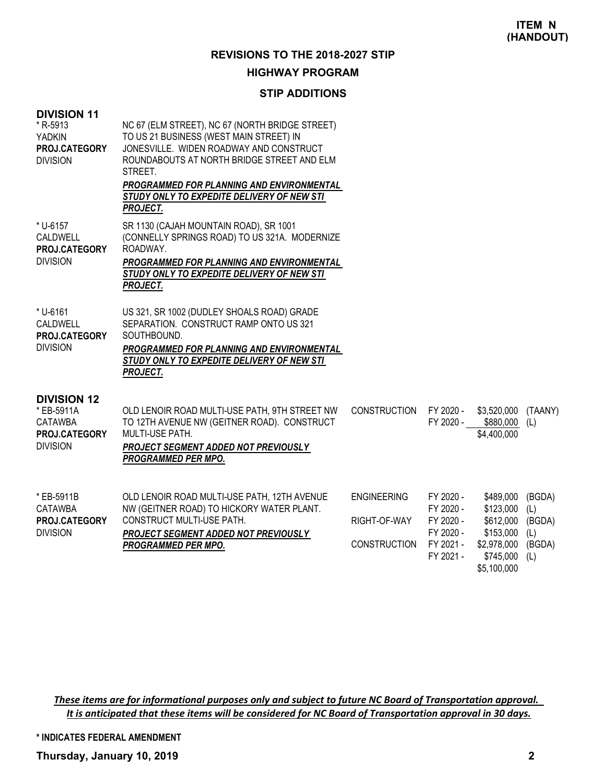### **HIGHWAY PROGRAM**

### **STIP ADDITIONS**

| <b>DIVISION 11</b><br>* R-5913<br><b>YADKIN</b><br>PROJ.CATEGORY<br><b>DIVISION</b> | NC 67 (ELM STREET), NC 67 (NORTH BRIDGE STREET)<br>TO US 21 BUSINESS (WEST MAIN STREET) IN<br>JONESVILLE. WIDEN ROADWAY AND CONSTRUCT<br>ROUNDABOUTS AT NORTH BRIDGE STREET AND ELM<br>STREET.<br>PROGRAMMED FOR PLANNING AND ENVIRONMENTAL<br>STUDY ONLY TO EXPEDITE DELIVERY OF NEW STI<br><b>PROJECT.</b> |                                                           |                                                                            |                                                                                             |                                                 |
|-------------------------------------------------------------------------------------|--------------------------------------------------------------------------------------------------------------------------------------------------------------------------------------------------------------------------------------------------------------------------------------------------------------|-----------------------------------------------------------|----------------------------------------------------------------------------|---------------------------------------------------------------------------------------------|-------------------------------------------------|
| * U-6157<br>CALDWELL<br>PROJ.CATEGORY<br><b>DIVISION</b>                            | SR 1130 (CAJAH MOUNTAIN ROAD), SR 1001<br>(CONNELLY SPRINGS ROAD) TO US 321A. MODERNIZE<br>ROADWAY.<br>PROGRAMMED FOR PLANNING AND ENVIRONMENTAL<br>STUDY ONLY TO EXPEDITE DELIVERY OF NEW STI<br><b>PROJECT.</b>                                                                                            |                                                           |                                                                            |                                                                                             |                                                 |
| * U-6161<br><b>CALDWELL</b><br>PROJ.CATEGORY<br><b>DIVISION</b>                     | US 321, SR 1002 (DUDLEY SHOALS ROAD) GRADE<br>SEPARATION. CONSTRUCT RAMP ONTO US 321<br>SOUTHBOUND.<br>PROGRAMMED FOR PLANNING AND ENVIRONMENTAL<br>STUDY ONLY TO EXPEDITE DELIVERY OF NEW STI<br><b>PROJECT.</b>                                                                                            |                                                           |                                                                            |                                                                                             |                                                 |
| <b>DIVISION 12</b><br>* EB-5911A<br>CATAWBA<br>PROJ.CATEGORY<br><b>DIVISION</b>     | OLD LENOIR ROAD MULTI-USE PATH, 9TH STREET NW<br>TO 12TH AVENUE NW (GEITNER ROAD). CONSTRUCT<br>MULTI-USE PATH.<br>PROJECT SEGMENT ADDED NOT PREVIOUSLY<br>PROGRAMMED PER MPO.                                                                                                                               | <b>CONSTRUCTION</b>                                       | FY 2020 -<br>FY 2020 -                                                     | \$3,520,000<br>\$880,000 (L)<br>\$4,400,000                                                 | (TAANY)                                         |
| * EB-5911B<br><b>CATAWBA</b><br><b>PROJ.CATEGORY</b><br><b>DIVISION</b>             | OLD LENOIR ROAD MULTI-USE PATH, 12TH AVENUE<br>NW (GEITNER ROAD) TO HICKORY WATER PLANT.<br>CONSTRUCT MULTI-USE PATH.<br>PROJECT SEGMENT ADDED NOT PREVIOUSLY<br><b>PROGRAMMED PER MPO.</b>                                                                                                                  | <b>ENGINEERING</b><br>RIGHT-OF-WAY<br><b>CONSTRUCTION</b> | FY 2020 -<br>FY 2020 -<br>FY 2020 -<br>FY 2020 -<br>FY 2021 -<br>FY 2021 - | \$489,000<br>\$123,000<br>\$612,000<br>\$153,000<br>\$2,978,000<br>\$745,000<br>\$5,100,000 | (BGDA)<br>(L)<br>(BGDA)<br>(L)<br>(BGDA)<br>(L) |

*These items are for informational purposes only and subject to future NC Board of Transportation approval. It is anticipated that these items will be considered for NC Board of Transportation approval in 30 days.*

**\* INDICATES FEDERAL AMENDMENT**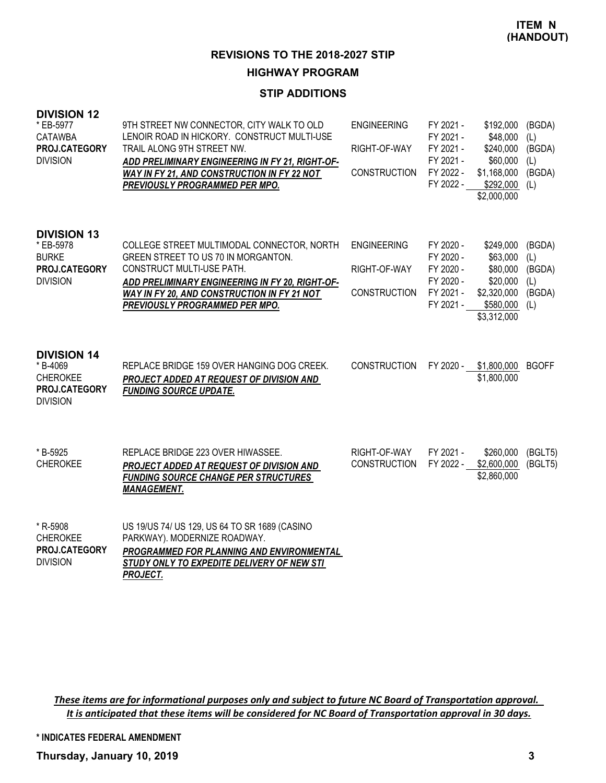### **HIGHWAY PROGRAM**

#### **STIP ADDITIONS**

| <b>DIVISION 12</b><br>* EB-5977<br>CATAWBA<br>PROJ.CATEGORY<br><b>DIVISION</b>        | 9TH STREET NW CONNECTOR, CITY WALK TO OLD<br>LENOIR ROAD IN HICKORY. CONSTRUCT MULTI-USE<br>TRAIL ALONG 9TH STREET NW.<br>ADD PRELIMINARY ENGINEERING IN FY 21, RIGHT-OF-<br>WAY IN FY 21, AND CONSTRUCTION IN FY 22 NOT<br>PREVIOUSLY PROGRAMMED PER MPO. | <b>ENGINEERING</b><br>RIGHT-OF-WAY<br>CONSTRUCTION        | FY 2021 -<br>FY 2021 -<br>FY 2021 -<br>FY 2021 -<br>FY 2022 -<br>FY 2022 - | \$192,000<br>\$48,000<br>\$240,000<br>\$60,000<br>\$1,168,000<br>$$292,000$ (L)<br>\$2,000,000 | (BGDA)<br>(L)<br>(BGDA)<br>(L)<br>(BGDA)        |
|---------------------------------------------------------------------------------------|------------------------------------------------------------------------------------------------------------------------------------------------------------------------------------------------------------------------------------------------------------|-----------------------------------------------------------|----------------------------------------------------------------------------|------------------------------------------------------------------------------------------------|-------------------------------------------------|
| <b>DIVISION 13</b><br>* EB-5978<br><b>BURKE</b><br>PROJ.CATEGORY<br><b>DIVISION</b>   | COLLEGE STREET MULTIMODAL CONNECTOR, NORTH<br>GREEN STREET TO US 70 IN MORGANTON.<br>CONSTRUCT MULTI-USE PATH.<br>ADD PRELIMINARY ENGINEERING IN FY 20, RIGHT-OF-<br>WAY IN FY 20, AND CONSTRUCTION IN FY 21 NOT<br>PREVIOUSLY PROGRAMMED PER MPO.         | <b>ENGINEERING</b><br>RIGHT-OF-WAY<br><b>CONSTRUCTION</b> | FY 2020 -<br>FY 2020 -<br>FY 2020 -<br>FY 2020 -<br>FY 2021 -<br>FY 2021 - | \$249,000<br>\$63,000<br>\$80,000<br>\$20,000<br>\$2,320,000<br>\$580,000<br>\$3,312,000       | (BGDA)<br>(L)<br>(BGDA)<br>(L)<br>(BGDA)<br>(L) |
| <b>DIVISION 14</b><br>* B-4069<br><b>CHEROKEE</b><br>PROJ.CATEGORY<br><b>DIVISION</b> | REPLACE BRIDGE 159 OVER HANGING DOG CREEK.<br>PROJECT ADDED AT REQUEST OF DIVISION AND<br><b>FUNDING SOURCE UPDATE.</b>                                                                                                                                    | <b>CONSTRUCTION</b>                                       | FY 2020 -                                                                  | \$1,800,000<br>\$1,800,000                                                                     | <b>BGOFF</b>                                    |
| * B-5925<br><b>CHEROKEE</b>                                                           | REPLACE BRIDGE 223 OVER HIWASSEE.<br>PROJECT ADDED AT REQUEST OF DIVISION AND<br><b>FUNDING SOURCE CHANGE PER STRUCTURES</b><br><b>MANAGEMENT.</b>                                                                                                         | RIGHT-OF-WAY<br><b>CONSTRUCTION</b>                       | FY 2021 -<br>FY 2022 -                                                     | \$260,000<br>\$2,600,000<br>\$2,860,000                                                        | (BGLT5)<br>(BGLT5)                              |
| * R-5908<br><b>CHEROKEE</b><br>PROJ.CATEGORY<br><b>DIVISION</b>                       | US 19/US 74/ US 129, US 64 TO SR 1689 (CASINO<br>PARKWAY). MODERNIZE ROADWAY.<br>PROGRAMMED FOR PLANNING AND ENVIRONMENTAL<br>STUDY ONLY TO EXPEDITE DELIVERY OF NEW STI<br><b>PROJECT.</b>                                                                |                                                           |                                                                            |                                                                                                |                                                 |

*These items are for informational purposes only and subject to future NC Board of Transportation approval. It is anticipated that these items will be considered for NC Board of Transportation approval in 30 days.*

**\* INDICATES FEDERAL AMENDMENT**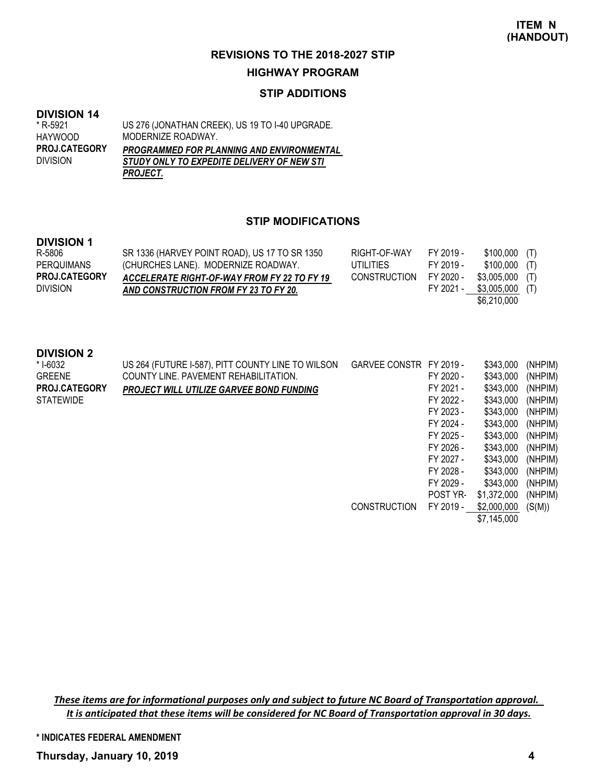## **HIGHWAY PROGRAM**

#### **STIP ADDITIONS**

#### **DIVISION 14**

US 276 (JONATHAN CREEK), US 19 TO I-40 UPGRADE. MODERNIZE ROADWAY. *PROGRAMMED FOR PLANNING AND ENVIRONMENTAL STUDY ONLY TO EXPEDITE DELIVERY OF NEW STI PROJECT.* \* R-5921 HAYWOOD DIVISION **PROJ.CATEGORY**

#### **STIP MODIFICATIONS**

#### **DIVISION 1**

| R-5806               | SR 1336 (HARVEY POINT ROAD), US 17 TO SR 1350 | RIGHT-OF-WAY | FY 2019 - | \$100,000 (T)   |  |
|----------------------|-----------------------------------------------|--------------|-----------|-----------------|--|
| <b>PERQUIMANS</b>    | (CHURCHES LANE). MODERNIZE ROADWAY.           | UTILITIES    | FY 2019 - | \$100,000 (T)   |  |
| <b>PROJ.CATEGORY</b> | ACCELERATE RIGHT-OF-WAY FROM FY 22 TO FY 19   | CONSTRUCTION | FY 2020 - | \$3,005,000 (T) |  |
| <b>DIVISION</b>      | AND CONSTRUCTION FROM FY 23 TO FY 20.         |              | FY 2021 - | \$3,005,000 (T) |  |
|                      |                                               |              |           | \$6,210,000     |  |

#### **DIVISION 2**

| * I-6032             | US 264 (FUTURE I-587), PITT COUNTY LINE TO WILSON | <b>GARVEE CONSTR</b> | FY 2019 - | \$343,000   | (NHPIM) |
|----------------------|---------------------------------------------------|----------------------|-----------|-------------|---------|
| <b>GREENE</b>        | COUNTY LINE, PAVEMENT REHABILITATION.             |                      | FY 2020 - | \$343,000   | (NHPIM) |
| <b>PROJ.CATEGORY</b> | <b>PROJECT WILL UTILIZE GARVEE BOND FUNDING</b>   |                      | FY 2021 - | \$343,000   | (NHPIM) |
| <b>STATEWIDE</b>     |                                                   |                      | FY 2022 - | \$343,000   | (NHPIM) |
|                      |                                                   |                      | FY 2023 - | \$343,000   | (NHPIM) |
|                      |                                                   |                      | FY 2024 - | \$343,000   | (NHPIM) |
|                      |                                                   |                      | FY 2025 - | \$343,000   | (NHPIM) |
|                      |                                                   |                      | FY 2026 - | \$343,000   | (NHPIM) |
|                      |                                                   |                      | FY 2027 - | \$343,000   | (NHPIM) |
|                      |                                                   |                      | FY 2028 - | \$343,000   | (NHPIM) |
|                      |                                                   |                      | FY 2029 - | \$343,000   | (NHPIM) |
|                      |                                                   |                      | POST YR-  | \$1,372,000 | (NHPIM) |
|                      |                                                   | <b>CONSTRUCTION</b>  | FY 2019 - | \$2,000,000 | (S(M))  |
|                      |                                                   |                      |           | \$7,145,000 |         |

*These items are for informational purposes only and subject to future NC Board of Transportation approval. It is anticipated that these items will be considered for NC Board of Transportation approval in 30 days.*

**\* INDICATES FEDERAL AMENDMENT**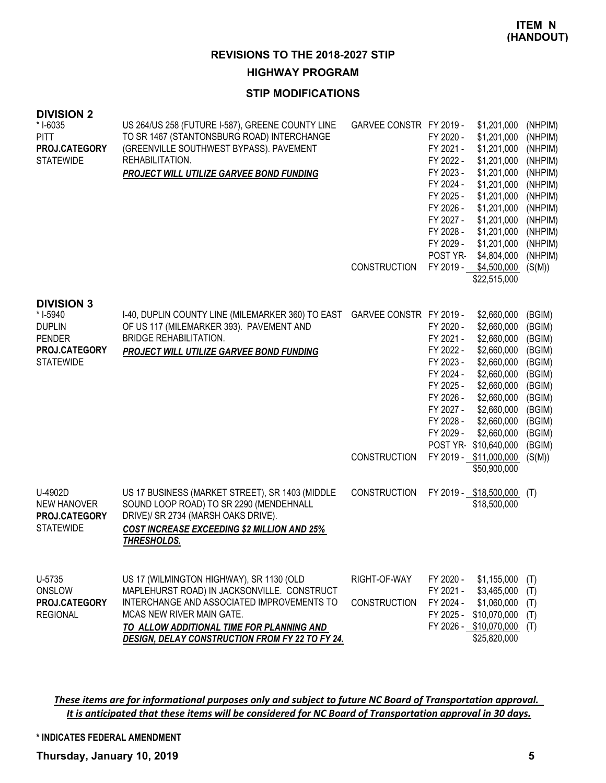#### **HIGHWAY PROGRAM**

#### **STIP MODIFICATIONS**

| <b>DIVISION 2</b><br>* I-6035<br><b>PITT</b><br>PROJ.CATEGORY<br><b>STATEWIDE</b>                    | US 264/US 258 (FUTURE I-587), GREENE COUNTY LINE<br>TO SR 1467 (STANTONSBURG ROAD) INTERCHANGE<br>(GREENVILLE SOUTHWEST BYPASS). PAVEMENT<br>REHABILITATION.<br><b>PROJECT WILL UTILIZE GARVEE BOND FUNDING</b>                                                                  | GARVEE CONSTR FY 2019 -<br><b>CONSTRUCTION</b> | FY 2020 -<br>FY 2021 -<br>FY 2022 -<br>FY 2023 -<br>FY 2024 -<br>FY 2025 -<br>FY 2026 -<br>FY 2027 -<br>FY 2028 -<br>FY 2029 -<br>POST YR-<br>FY 2019 -              | \$1,201,000<br>\$1,201,000<br>\$1,201,000<br>\$1,201,000<br>\$1,201,000<br>\$1,201,000<br>\$1,201,000<br>\$1,201,000<br>\$1,201,000<br>\$1,201,000<br>\$1,201,000<br>\$4,804,000<br>\$4,500,000<br>\$22,515,000 | (NHPIM)<br>(NHPIM)<br>(NHPIM)<br>(NHPIM)<br>(NHPIM)<br>(NHPIM)<br>(NHPIM)<br>(NHPIM)<br>(NHPIM)<br>(NHPIM)<br>(NHPIM)<br>(NHPIM)<br>(S(M)) |
|------------------------------------------------------------------------------------------------------|----------------------------------------------------------------------------------------------------------------------------------------------------------------------------------------------------------------------------------------------------------------------------------|------------------------------------------------|----------------------------------------------------------------------------------------------------------------------------------------------------------------------|-----------------------------------------------------------------------------------------------------------------------------------------------------------------------------------------------------------------|--------------------------------------------------------------------------------------------------------------------------------------------|
| <b>DIVISION 3</b><br>* I-5940<br><b>DUPLIN</b><br><b>PENDER</b><br>PROJ.CATEGORY<br><b>STATEWIDE</b> | 1-40, DUPLIN COUNTY LINE (MILEMARKER 360) TO EAST GARVEE CONSTR FY 2019 -<br>OF US 117 (MILEMARKER 393). PAVEMENT AND<br><b>BRIDGE REHABILITATION.</b><br>PROJECT WILL UTILIZE GARVEE BOND FUNDING                                                                               | <b>CONSTRUCTION</b>                            | FY 2020 -<br>FY 2021 -<br>FY 2022 -<br>FY 2023 -<br>FY 2024 -<br>FY 2025 -<br>FY 2026 -<br>FY 2027 -<br>FY 2028 -<br>FY 2029 -<br>POST YR-<br>FY 2019 - \$11,000,000 | \$2,660,000<br>\$2,660,000<br>\$2,660,000<br>\$2,660,000<br>\$2,660,000<br>\$2,660,000<br>\$2,660,000<br>\$2,660,000<br>\$2,660,000<br>\$2,660,000<br>\$2,660,000<br>\$10,640,000<br>\$50,900,000               | (BGIM)<br>(BGIM)<br>(BGIM)<br>(BGIM)<br>(BGIM)<br>(BGIM)<br>(BGIM)<br>(BGIM)<br>(BGIM)<br>(BGIM)<br>(BGIM)<br>(BGIM)<br>(S(M))             |
| U-4902D<br><b>NEW HANOVER</b><br>PROJ.CATEGORY<br><b>STATEWIDE</b>                                   | US 17 BUSINESS (MARKET STREET), SR 1403 (MIDDLE<br>SOUND LOOP ROAD) TO SR 2290 (MENDEHNALL<br>DRIVE)/ SR 2734 (MARSH OAKS DRIVE).<br><b>COST INCREASE EXCEEDING \$2 MILLION AND 25%</b><br>THRESHOLDS.                                                                           | <b>CONSTRUCTION</b>                            | FY 2019 - \$18,500,000                                                                                                                                               | \$18,500,000                                                                                                                                                                                                    | (T)                                                                                                                                        |
| U-5735<br>ONSLOW<br>PROJ.CATEGORY<br><b>REGIONAL</b>                                                 | US 17 (WILMINGTON HIGHWAY), SR 1130 (OLD<br>MAPLEHURST ROAD) IN JACKSONVILLE. CONSTRUCT<br>INTERCHANGE AND ASSOCIATED IMPROVEMENTS TO<br><b>MCAS NEW RIVER MAIN GATE.</b><br>TO ALLOW ADDITIONAL TIME FOR PLANNING AND<br><b>DESIGN, DELAY CONSTRUCTION FROM FY 22 TO FY 24.</b> | RIGHT-OF-WAY<br><b>CONSTRUCTION</b>            | FY 2020 -<br>FY 2021 -<br>FY 2024 -<br>FY 2025 -<br>FY 2026 - \$10,070,000                                                                                           | \$1,155,000<br>\$3,465,000<br>\$1,060,000<br>\$10,070,000<br>\$25,820,000                                                                                                                                       | (T)<br>(T)<br>(T)<br>(T)<br>(T)                                                                                                            |

*These items are for informational purposes only and subject to future NC Board of Transportation approval. It is anticipated that these items will be considered for NC Board of Transportation approval in 30 days.*

**\* INDICATES FEDERAL AMENDMENT**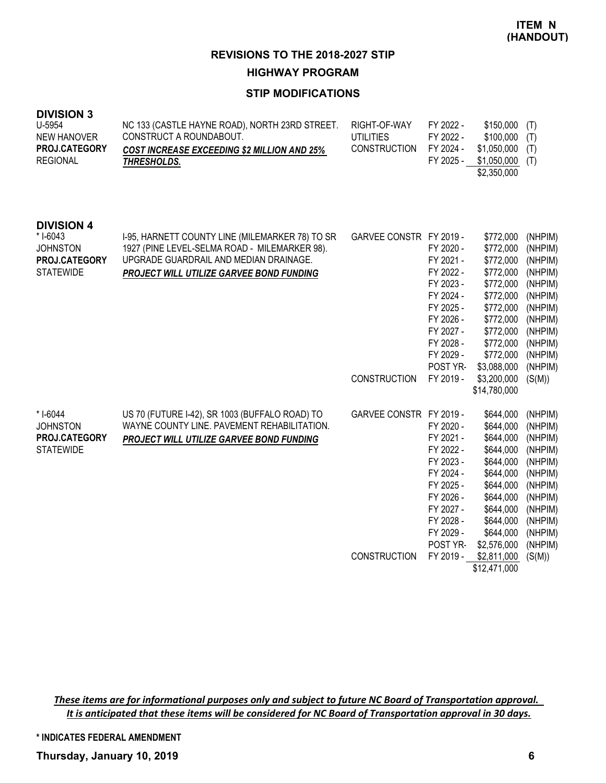**REVISIONS TO THE 2018-2027 STIP HIGHWAY PROGRAM**

#### **STIP MODIFICATIONS**

| <b>DIVISION 3</b><br>U-5954<br><b>NEW HANOVER</b><br>PROJ.CATEGORY<br><b>REGIONAL</b> | NC 133 (CASTLE HAYNE ROAD), NORTH 23RD STREET.<br>CONSTRUCT A ROUNDABOUT.<br><b>COST INCREASE EXCEEDING \$2 MILLION AND 25%</b><br>THRESHOLDS.                                         | RIGHT-OF-WAY<br><b>UTILITIES</b><br>CONSTRUCTION | FY 2022 -<br>FY 2022 -<br>FY 2024 -<br>FY 2025 -                                                                                           | \$150,000<br>\$100,000<br>\$1,050,000<br>\$1,050,000<br>\$2,350,000                                                                                        | (T)<br>(T)<br>(T)<br>(T)                                                                                                         |
|---------------------------------------------------------------------------------------|----------------------------------------------------------------------------------------------------------------------------------------------------------------------------------------|--------------------------------------------------|--------------------------------------------------------------------------------------------------------------------------------------------|------------------------------------------------------------------------------------------------------------------------------------------------------------|----------------------------------------------------------------------------------------------------------------------------------|
| <b>DIVISION 4</b><br>* I-6043<br><b>JOHNSTON</b><br>PROJ.CATEGORY<br><b>STATEWIDE</b> | I-95, HARNETT COUNTY LINE (MILEMARKER 78) TO SR<br>1927 (PINE LEVEL-SELMA ROAD - MILEMARKER 98).<br>UPGRADE GUARDRAIL AND MEDIAN DRAINAGE.<br>PROJECT WILL UTILIZE GARVEE BOND FUNDING | GARVEE CONSTR FY 2019 -                          | FY 2020 -<br>FY 2021 -<br>FY 2022 -<br>FY 2023 -<br>FY 2024 -<br>FY 2025 -<br>FY 2026 -<br>FY 2027 -<br>FY 2028 -<br>FY 2029 -<br>POST YR- | \$772,000<br>\$772,000<br>\$772,000<br>\$772,000<br>\$772,000<br>\$772,000<br>\$772,000<br>\$772,000<br>\$772,000<br>\$772,000<br>\$772,000<br>\$3,088,000 | (NHPIM)<br>(NHPIM)<br>(NHPIM)<br>(NHPIM)<br>(NHPIM)<br>(NHPIM)<br>(NHPIM)<br>(NHPIM)<br>(NHPIM)<br>(NHPIM)<br>(NHPIM)<br>(NHPIM) |
|                                                                                       |                                                                                                                                                                                        | <b>CONSTRUCTION</b>                              | FY 2019 -                                                                                                                                  | \$3,200,000<br>\$14,780,000                                                                                                                                | (S(M))                                                                                                                           |
| * I-6044<br><b>JOHNSTON</b><br>PROJ.CATEGORY<br><b>STATEWIDE</b>                      | US 70 (FUTURE I-42), SR 1003 (BUFFALO ROAD) TO<br>WAYNE COUNTY LINE, PAVEMENT REHABILITATION.<br>PROJECT WILL UTILIZE GARVEE BOND FUNDING                                              | GARVEE CONSTR FY 2019 -<br><b>CONSTRUCTION</b>   | FY 2020 -<br>FY 2021 -<br>FY 2022 -<br>FY 2023 -<br>FY 2024 -<br>FY 2025 -<br>FY 2026 -<br>FY 2027 -<br>FY 2028 -<br>FY 2029 -<br>POST YR- | \$644,000<br>\$644,000<br>\$644,000<br>\$644,000<br>\$644,000<br>\$644,000<br>\$644,000<br>\$644,000<br>\$644,000<br>\$644,000<br>\$644,000<br>\$2,576,000 | (NHPIM)<br>(NHPIM)<br>(NHPIM)<br>(NHPIM)<br>(NHPIM)<br>(NHPIM)<br>(NHPIM)<br>(NHPIM)<br>(NHPIM)<br>(NHPIM)<br>(NHPIM)<br>(NHPIM) |
|                                                                                       |                                                                                                                                                                                        |                                                  | FY 2019 -                                                                                                                                  | \$2,811,000<br>\$12,471,000                                                                                                                                | (S(M))                                                                                                                           |

*These items are for informational purposes only and subject to future NC Board of Transportation approval. It is anticipated that these items will be considered for NC Board of Transportation approval in 30 days.*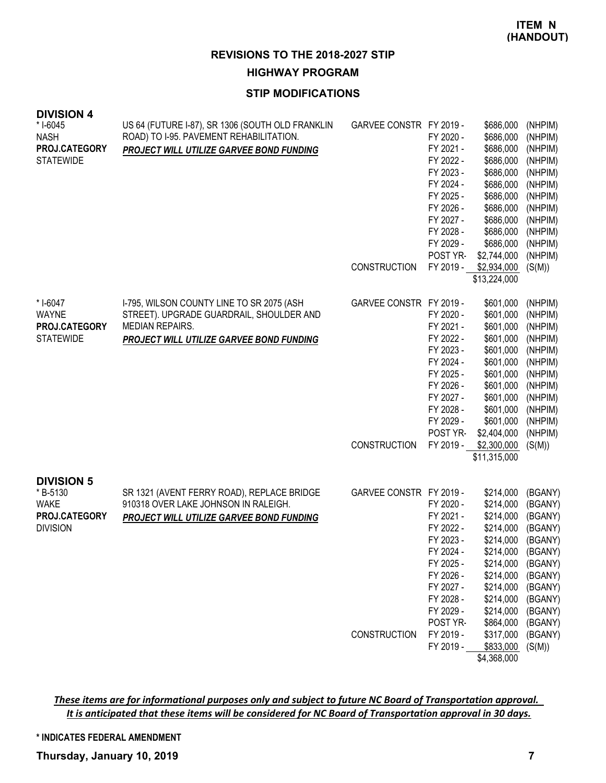**HIGHWAY PROGRAM**

### **STIP MODIFICATIONS**

| <b>DIVISION 4</b><br>* I-6045<br><b>NASH</b><br>PROJ.CATEGORY<br><b>STATEWIDE</b> | US 64 (FUTURE I-87), SR 1306 (SOUTH OLD FRANKLIN<br>ROAD) TO I-95. PAVEMENT REHABILITATION.<br>PROJECT WILL UTILIZE GARVEE BOND FUNDING                            | GARVEE CONSTR FY 2019 -<br><b>CONSTRUCTION</b> | FY 2020 -<br>FY 2021 -<br>FY 2022 -<br>FY 2023 -<br>FY 2024 -<br>FY 2025 -<br>FY 2026 -<br>FY 2027 -<br>FY 2028 -<br>FY 2029 -<br>POST YR-<br>FY 2019 -              | \$686,000<br>\$686,000<br>\$686,000<br>\$686,000<br>\$686,000<br>\$686,000<br>\$686,000<br>\$686,000<br>\$686,000<br>\$686,000<br>\$686,000<br>\$2,744,000<br>\$2,934,000<br>\$13,224,000                         | (NHPIM)<br>(NHPIM)<br>(NHPIM)<br>(NHPIM)<br>(NHPIM)<br>(NHPIM)<br>(NHPIM)<br>(NHPIM)<br>(NHPIM)<br>(NHPIM)<br>(NHPIM)<br>(NHPIM)<br>(S(M)) |
|-----------------------------------------------------------------------------------|--------------------------------------------------------------------------------------------------------------------------------------------------------------------|------------------------------------------------|----------------------------------------------------------------------------------------------------------------------------------------------------------------------|-------------------------------------------------------------------------------------------------------------------------------------------------------------------------------------------------------------------|--------------------------------------------------------------------------------------------------------------------------------------------|
| * I-6047<br><b>WAYNE</b><br>PROJ.CATEGORY<br><b>STATEWIDE</b>                     | I-795, WILSON COUNTY LINE TO SR 2075 (ASH<br>STREET). UPGRADE GUARDRAIL, SHOULDER AND<br><b>MEDIAN REPAIRS.</b><br><b>PROJECT WILL UTILIZE GARVEE BOND FUNDING</b> | GARVEE CONSTR FY 2019 -<br><b>CONSTRUCTION</b> | FY 2020 -<br>FY 2021 -<br>FY 2022 -<br>FY 2023 -<br>FY 2024 -<br>FY 2025 -<br>FY 2026 -<br>FY 2027 -<br>FY 2028 -<br>FY 2029 -<br>POST YR-<br>FY 2019 -              | \$601,000<br>\$601,000<br>\$601,000<br>\$601,000<br>\$601,000<br>\$601,000<br>\$601,000<br>\$601,000<br>\$601,000<br>\$601,000<br>\$601,000<br>\$2,404,000<br>\$2,300,000<br>\$11,315,000                         | (NHPIM)<br>(NHPIM)<br>(NHPIM)<br>(NHPIM)<br>(NHPIM)<br>(NHPIM)<br>(NHPIM)<br>(NHPIM)<br>(NHPIM)<br>(NHPIM)<br>(NHPIM)<br>(NHPIM)<br>(S(M)) |
| <b>DIVISION 5</b><br>*B-5130<br><b>WAKE</b><br>PROJ.CATEGORY<br><b>DIVISION</b>   | SR 1321 (AVENT FERRY ROAD), REPLACE BRIDGE<br>910318 OVER LAKE JOHNSON IN RALEIGH.<br>PROJECT WILL UTILIZE GARVEE BOND FUNDING                                     | GARVEE CONSTR FY 2019 -<br>CONSTRUCTION        | FY 2020 -<br>FY 2021 -<br>FY 2022 -<br>FY 2023 -<br>FY 2024 -<br>FY 2025 -<br>FY 2026 -<br>FY 2027 -<br>FY 2028 -<br>FY 2029 -<br>POST YR-<br>FY 2019 -<br>FY 2019 - | \$214,000<br>\$214,000<br>\$214,000<br>\$214,000<br>\$214,000<br>\$214,000 (BGANY)<br>\$214,000 (BGANY)<br>\$214,000<br>\$214,000<br>\$214,000<br>\$214,000<br>\$864,000<br>\$317,000<br>\$833,000<br>\$4,368,000 | (BGANY)<br>(BGANY)<br>(BGANY)<br>(BGANY)<br>(BGANY)<br>(BGANY)<br>(BGANY)<br>(BGANY)<br>(BGANY)<br>(BGANY)<br>(BGANY)<br>(S(M))            |

*These items are for informational purposes only and subject to future NC Board of Transportation approval. It is anticipated that these items will be considered for NC Board of Transportation approval in 30 days.*

**\* INDICATES FEDERAL AMENDMENT**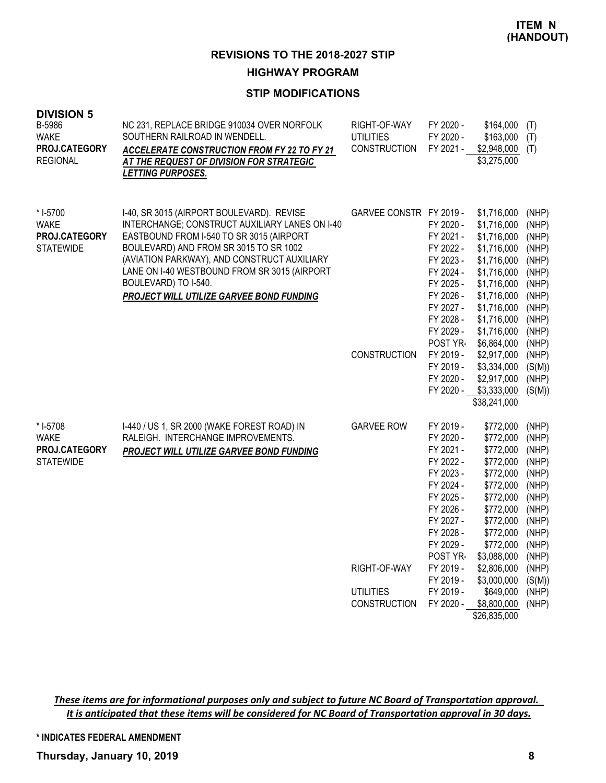### **HIGHWAY PROGRAM**

### **STIP MODIFICATIONS**

| <b>DIVISION 5</b><br>B-5986<br><b>WAKE</b><br>PROJ.CATEGORY<br><b>REGIONAL</b> | NC 231, REPLACE BRIDGE 910034 OVER NORFOLK<br>SOUTHERN RAILROAD IN WENDELL.<br>ACCELERATE CONSTRUCTION FROM FY 22 TO FY 21<br>AT THE REQUEST OF DIVISION FOR STRATEGIC<br><b>LETTING PURPOSES.</b>                                                                                                                                                          | RIGHT-OF-WAY<br><b>UTILITIES</b><br><b>CONSTRUCTION</b>                      | FY 2020 -<br>FY 2020 -<br>FY 2021 -                                                                                                                                                                         | \$164,000<br>\$163,000<br>$$2,948,000$ (T)<br>\$3,275,000                                                                                                                                                                                                    | (T)<br>(T)                                                                                                                                     |
|--------------------------------------------------------------------------------|-------------------------------------------------------------------------------------------------------------------------------------------------------------------------------------------------------------------------------------------------------------------------------------------------------------------------------------------------------------|------------------------------------------------------------------------------|-------------------------------------------------------------------------------------------------------------------------------------------------------------------------------------------------------------|--------------------------------------------------------------------------------------------------------------------------------------------------------------------------------------------------------------------------------------------------------------|------------------------------------------------------------------------------------------------------------------------------------------------|
| * I-5700<br><b>WAKE</b><br>PROJ.CATEGORY<br><b>STATEWIDE</b>                   | I-40, SR 3015 (AIRPORT BOULEVARD). REVISE<br>INTERCHANGE; CONSTRUCT AUXILIARY LANES ON I-40<br>EASTBOUND FROM I-540 TO SR 3015 (AIRPORT<br>BOULEVARD) AND FROM SR 3015 TO SR 1002<br>(AVIATION PARKWAY), AND CONSTRUCT AUXILIARY<br>LANE ON I-40 WESTBOUND FROM SR 3015 (AIRPORT<br>BOULEVARD) TO I-540.<br><b>PROJECT WILL UTILIZE GARVEE BOND FUNDING</b> | GARVEE CONSTR FY 2019 -<br><b>CONSTRUCTION</b>                               | FY 2020 -<br>FY 2021 -<br>FY 2022 -<br>FY 2023 -<br>FY 2024 -<br>FY 2025 -<br>FY 2026 -<br>FY 2027 -<br>FY 2028 -<br>FY 2029 -<br>POST YR-<br>FY 2019 -<br>FY 2019 -<br>FY 2020 -<br>FY 2020 -              | \$1,716,000<br>\$1,716,000<br>\$1,716,000<br>\$1,716,000<br>\$1,716,000<br>\$1,716,000<br>\$1,716,000<br>\$1,716,000<br>\$1,716,000<br>\$1,716,000<br>\$1,716,000<br>\$6,864,000<br>\$2,917,000<br>\$3,334,000<br>\$2,917,000<br>\$3,333,000<br>\$38,241,000 | (NHP)<br>(NHP)<br>(NHP)<br>(NHP)<br>(NHP)<br>(NHP)<br>(NHP)<br>(NHP)<br>(NHP)<br>(NHP)<br>(NHP)<br>(NHP)<br>(NHP)<br>(S(M))<br>(NHP)<br>(S(M)) |
| * I-5708<br><b>WAKE</b><br>PROJ.CATEGORY<br><b>STATEWIDE</b>                   | 1-440 / US 1, SR 2000 (WAKE FOREST ROAD) IN<br>RALEIGH. INTERCHANGE IMPROVEMENTS.<br>PROJECT WILL UTILIZE GARVEE BOND FUNDING                                                                                                                                                                                                                               | <b>GARVEE ROW</b><br>RIGHT-OF-WAY<br><b>UTILITIES</b><br><b>CONSTRUCTION</b> | FY 2019 -<br>FY 2020 -<br>FY 2021 -<br>FY 2022 -<br>FY 2023 -<br>FY 2024 -<br>FY 2025 -<br>FY 2026 -<br>FY 2027 -<br>FY 2028 -<br>FY 2029 -<br>POST YR-<br>FY 2019 -<br>FY 2019 -<br>FY 2019 -<br>FY 2020 - | \$772,000<br>\$772,000<br>\$772,000<br>\$772,000<br>\$772,000<br>\$772,000<br>\$772,000<br>\$772,000<br>\$772,000<br>\$772,000<br>\$772,000<br>\$3,088,000<br>\$2,806,000<br>\$3,000,000<br>\$649,000<br>\$8,800,000<br>\$26,835,000                         | (NHP)<br>(NHP)<br>(NHP)<br>(NHP)<br>(NHP)<br>(NHP)<br>(NHP)<br>(NHP)<br>(NHP)<br>(NHP)<br>(NHP)<br>(NHP)<br>(NHP)<br>(S(M))<br>(NHP)<br>(NHP)  |

*These items are for informational purposes only and subject to future NC Board of Transportation approval. It is anticipated that these items will be considered for NC Board of Transportation approval in 30 days.*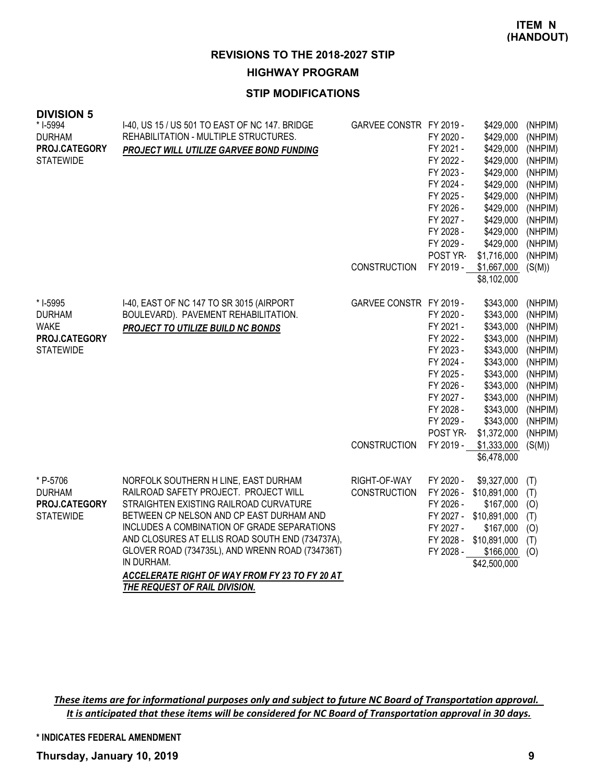**HIGHWAY PROGRAM**

### **STIP MODIFICATIONS**

| <b>DIVISION 5</b><br>* I-5994     | I-40, US 15 / US 501 TO EAST OF NC 147. BRIDGE                                                     | GARVEE CONSTR FY 2019 - |                        | \$429,000                  | (NHPIM)            |
|-----------------------------------|----------------------------------------------------------------------------------------------------|-------------------------|------------------------|----------------------------|--------------------|
| <b>DURHAM</b><br>PROJ.CATEGORY    | REHABILITATION - MULTIPLE STRUCTURES.<br><b>PROJECT WILL UTILIZE GARVEE BOND FUNDING</b>           |                         | FY 2020 -<br>FY 2021 - | \$429,000<br>\$429,000     | (NHPIM)<br>(NHPIM) |
| <b>STATEWIDE</b>                  |                                                                                                    |                         | FY 2022 -              | \$429,000                  | (NHPIM)            |
|                                   |                                                                                                    |                         | FY 2023 -<br>FY 2024 - | \$429,000<br>\$429,000     | (NHPIM)<br>(NHPIM) |
|                                   |                                                                                                    |                         | FY 2025 -              | \$429,000                  | (NHPIM)            |
|                                   |                                                                                                    |                         | FY 2026 -<br>FY 2027 - | \$429,000<br>\$429,000     | (NHPIM)<br>(NHPIM) |
|                                   |                                                                                                    |                         | FY 2028 -              | \$429,000                  | (NHPIM)            |
|                                   |                                                                                                    |                         | FY 2029 -<br>POST YR-  | \$429,000<br>\$1,716,000   | (NHPIM)<br>(NHPIM) |
|                                   |                                                                                                    | <b>CONSTRUCTION</b>     | FY 2019 -              | \$1,667,000                | (S(M))             |
|                                   |                                                                                                    |                         |                        | \$8,102,000                |                    |
| * I-5995                          | I-40, EAST OF NC 147 TO SR 3015 (AIRPORT                                                           | GARVEE CONSTR FY 2019 - |                        | \$343,000                  | (NHPIM)            |
| <b>DURHAM</b><br><b>WAKE</b>      | BOULEVARD). PAVEMENT REHABILITATION.<br>PROJECT TO UTILIZE BUILD NC BONDS                          |                         | FY 2020 -<br>FY 2021 - | \$343,000<br>\$343,000     | (NHPIM)<br>(NHPIM) |
| PROJ.CATEGORY                     |                                                                                                    |                         | FY 2022 -              | \$343,000                  | (NHPIM)            |
| <b>STATEWIDE</b>                  |                                                                                                    |                         | FY 2023 -<br>FY 2024 - | \$343,000<br>\$343,000     | (NHPIM)<br>(NHPIM) |
|                                   |                                                                                                    |                         | FY 2025 -              | \$343,000                  | (NHPIM)            |
|                                   |                                                                                                    |                         | FY 2026 -              | \$343,000                  | (NHPIM)            |
|                                   |                                                                                                    |                         | FY 2027 -<br>FY 2028 - | \$343,000<br>\$343,000     | (NHPIM)<br>(NHPIM) |
|                                   |                                                                                                    |                         | FY 2029 -              | \$343,000                  | (NHPIM)            |
|                                   |                                                                                                    | <b>CONSTRUCTION</b>     | POST YR-<br>FY 2019 -  | \$1,372,000<br>\$1,333,000 | (NHPIM)<br>(S(M))  |
|                                   |                                                                                                    |                         |                        | \$6,478,000                |                    |
| * P-5706                          | NORFOLK SOUTHERN H LINE, EAST DURHAM                                                               | RIGHT-OF-WAY            | FY 2020 -              | \$9,327,000                | (T)                |
| <b>DURHAM</b>                     | RAILROAD SAFETY PROJECT. PROJECT WILL<br>STRAIGHTEN EXISTING RAILROAD CURVATURE                    | <b>CONSTRUCTION</b>     | FY 2026 -              | \$10,891,000               | (T)                |
| PROJ.CATEGORY<br><b>STATEWIDE</b> | BETWEEN CP NELSON AND CP EAST DURHAM AND                                                           |                         | FY 2026 -<br>FY 2027 - | \$167,000<br>\$10,891,000  | (O)<br>(T)         |
|                                   | INCLUDES A COMBINATION OF GRADE SEPARATIONS                                                        |                         | FY 2027 -              | \$167,000                  | (O)                |
|                                   | AND CLOSURES AT ELLIS ROAD SOUTH END (734737A),<br>GLOVER ROAD (734735L), AND WRENN ROAD (734736T) |                         | FY 2028 -<br>FY 2028 - | \$10,891,000<br>\$166,000  | (T)<br>(O)         |
|                                   | IN DURHAM.                                                                                         |                         |                        | \$42,500,000               |                    |
|                                   | ACCELERATE RIGHT OF WAY FROM FY 23 TO FY 20 AT                                                     |                         |                        |                            |                    |
|                                   | THE REQUEST OF RAIL DIVISION.                                                                      |                         |                        |                            |                    |

*These items are for informational purposes only and subject to future NC Board of Transportation approval. It is anticipated that these items will be considered for NC Board of Transportation approval in 30 days.*

**\* INDICATES FEDERAL AMENDMENT**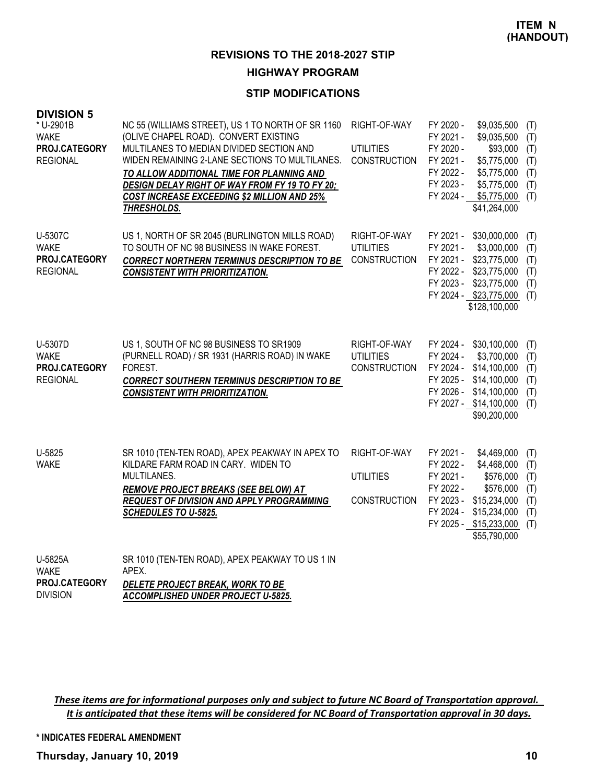#### **HIGHWAY PROGRAM**

#### **STIP MODIFICATIONS**

| <b>DIVISION 5</b><br>* U-2901B<br><b>WAKE</b><br>PROJ.CATEGORY<br><b>REGIONAL</b> | NC 55 (WILLIAMS STREET), US 1 TO NORTH OF SR 1160<br>(OLIVE CHAPEL ROAD). CONVERT EXISTING<br>MULTILANES TO MEDIAN DIVIDED SECTION AND<br>WIDEN REMAINING 2-LANE SECTIONS TO MULTILANES.<br>TO ALLOW ADDITIONAL TIME FOR PLANNING AND<br>DESIGN DELAY RIGHT OF WAY FROM FY 19 TO FY 20;<br><b>COST INCREASE EXCEEDING \$2 MILLION AND 25%</b><br>THRESHOLDS. | RIGHT-OF-WAY<br><b>UTILITIES</b><br><b>CONSTRUCTION</b> | FY 2020 -<br>FY 2021 -<br>FY 2020 -<br>FY 2021 -<br>FY 2022 -<br>FY 2023 -<br>FY 2024 - | \$9,035,500<br>\$9,035,500<br>\$93,000<br>\$5,775,000<br>\$5,775,000<br>\$5,775,000<br>\$5,775,000<br>\$41,264,000             | (T)<br>(T)<br>(T)<br>(T)<br>(T)<br>(T)<br>(T) |
|-----------------------------------------------------------------------------------|--------------------------------------------------------------------------------------------------------------------------------------------------------------------------------------------------------------------------------------------------------------------------------------------------------------------------------------------------------------|---------------------------------------------------------|-----------------------------------------------------------------------------------------|--------------------------------------------------------------------------------------------------------------------------------|-----------------------------------------------|
| U-5307C<br><b>WAKE</b><br>PROJ.CATEGORY<br><b>REGIONAL</b>                        | US 1, NORTH OF SR 2045 (BURLINGTON MILLS ROAD)<br>TO SOUTH OF NC 98 BUSINESS IN WAKE FOREST.<br><b>CORRECT NORTHERN TERMINUS DESCRIPTION TO BE</b><br><b>CONSISTENT WITH PRIORITIZATION.</b>                                                                                                                                                                 | RIGHT-OF-WAY<br><b>UTILITIES</b><br>CONSTRUCTION        | FY 2021 -<br>FY 2021 -<br>FY 2021 -<br>FY 2022 -<br>FY 2023 -                           | \$30,000,000<br>\$3,000,000<br>\$23,775,000<br>\$23,775,000<br>\$23,775,000<br>FY 2024 - \$23,775,000<br>\$128,100,000         | (T)<br>(T)<br>(T)<br>(T)<br>(T)<br>(T)        |
| U-5307D<br><b>WAKE</b><br>PROJ.CATEGORY<br><b>REGIONAL</b>                        | US 1, SOUTH OF NC 98 BUSINESS TO SR1909<br>(PURNELL ROAD) / SR 1931 (HARRIS ROAD) IN WAKE<br>FOREST.<br><b>CORRECT SOUTHERN TERMINUS DESCRIPTION TO BE</b><br><b>CONSISTENT WITH PRIORITIZATION.</b>                                                                                                                                                         | RIGHT-OF-WAY<br><b>UTILITIES</b><br>CONSTRUCTION        | FY 2024 -<br>FY 2024 -<br>FY 2024 -<br>FY 2025 -<br>FY 2026 -                           | \$30,100,000<br>\$3,700,000<br>\$14,100,000<br>\$14,100,000<br>\$14,100,000<br>FY 2027 - \$14,100,000<br>\$90,200,000          | (T)<br>(T)<br>(T)<br>(T)<br>(T)<br>(T)        |
| U-5825<br><b>WAKE</b>                                                             | SR 1010 (TEN-TEN ROAD), APEX PEAKWAY IN APEX TO<br>KILDARE FARM ROAD IN CARY. WIDEN TO<br>MULTILANES.<br><b>REMOVE PROJECT BREAKS (SEE BELOW) AT</b><br>REQUEST OF DIVISION AND APPLY PROGRAMMING<br>SCHEDULES TO U-5825.                                                                                                                                    | RIGHT-OF-WAY<br><b>UTILITIES</b><br>CONSTRUCTION        | FY 2021 -<br>FY 2022 -<br>FY 2021 -<br>FY 2022 -<br>FY 2023 -<br>FY 2024 -              | \$4,469,000<br>\$4,468,000<br>\$576,000<br>\$576,000<br>\$15,234,000<br>\$15,234,000<br>FY 2025 - \$15,233,000<br>\$55,790,000 | (T)<br>(T)<br>(T)<br>(T)<br>(T)<br>(T)<br>(T) |
| U-5825A<br><b>WAKE</b>                                                            | SR 1010 (TEN-TEN ROAD), APEX PEAKWAY TO US 1 IN<br>APEX.                                                                                                                                                                                                                                                                                                     |                                                         |                                                                                         |                                                                                                                                |                                               |

*DELETE PROJECT BREAK, WORK TO BE ACCOMPLISHED UNDER PROJECT U-5825.* DIVISION **PROJ.CATEGORY**

*These items are for informational purposes only and subject to future NC Board of Transportation approval. It is anticipated that these items will be considered for NC Board of Transportation approval in 30 days.*

**\* INDICATES FEDERAL AMENDMENT**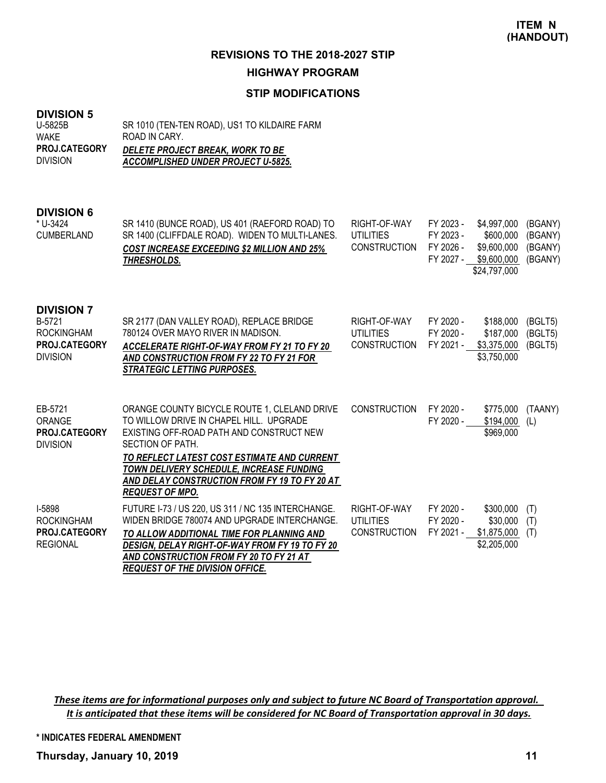### **REVISIONS TO THE 2018-2027 STIP HIGHWAY PROGRAM**

#### **STIP MODIFICATIONS**

#### **DIVISION 5**

| U-5825B              | SR 1010 (TEN-TEN ROAD), US1 TO KILDAIRE FARM |
|----------------------|----------------------------------------------|
| WAKE                 | ROAD IN CARY.                                |
| <b>PROJ.CATEGORY</b> | DELETE PROJECT BREAK. WORK TO BE             |
| <b>DIVISION</b>      | ACCOMPLISHED UNDER PROJECT U-5825.           |

#### **DIVISION 6**

| * U-3424<br><b>CUMBERLAND</b>                                                        | SR 1410 (BUNCE ROAD), US 401 (RAEFORD ROAD) TO<br>SR 1400 (CLIFFDALE ROAD). WIDEN TO MULTI-LANES.<br><b>COST INCREASE EXCEEDING \$2 MILLION AND 25%</b><br>THRESHOLDS.                                                                                                                                                        | RIGHT-OF-WAY<br><b>UTILITIES</b><br><b>CONSTRUCTION</b> | FY 2023 -<br>FY 2023 -<br>FY 2026 -<br>FY 2027 - | \$4,997,000<br>\$600,000<br>\$9,600,000<br>\$9,600,000<br>\$24,797,000 | (BGANY)<br>(BGANY)<br>(BGANY)<br>(BGANY) |
|--------------------------------------------------------------------------------------|-------------------------------------------------------------------------------------------------------------------------------------------------------------------------------------------------------------------------------------------------------------------------------------------------------------------------------|---------------------------------------------------------|--------------------------------------------------|------------------------------------------------------------------------|------------------------------------------|
| <b>DIVISION 7</b><br>B-5721<br><b>ROCKINGHAM</b><br>PROJ.CATEGORY<br><b>DIVISION</b> | SR 2177 (DAN VALLEY ROAD), REPLACE BRIDGE<br>780124 OVER MAYO RIVER IN MADISON.<br>ACCELERATE RIGHT-OF-WAY FROM FY 21 TO FY 20<br>AND CONSTRUCTION FROM FY 22 TO FY 21 FOR<br>STRATEGIC LETTING PURPOSES.                                                                                                                     | RIGHT-OF-WAY<br><b>UTILITIES</b><br><b>CONSTRUCTION</b> | FY 2020 -<br>FY 2020 -<br>FY 2021 -              | \$188,000<br>\$187,000<br>\$3,375,000<br>\$3,750,000                   | (BGLT5)<br>(BGLT5)<br>(BGLT5)            |
| EB-5721<br>ORANGE<br>PROJ.CATEGORY<br><b>DIVISION</b>                                | ORANGE COUNTY BICYCLE ROUTE 1, CLELAND DRIVE<br>TO WILLOW DRIVE IN CHAPEL HILL. UPGRADE<br>EXISTING OFF-ROAD PATH AND CONSTRUCT NEW<br>SECTION OF PATH.<br>TO REFLECT LATEST COST ESTIMATE AND CURRENT<br>TOWN DELIVERY SCHEDULE. INCREASE FUNDING<br>AND DELAY CONSTRUCTION FROM FY 19 TO FY 20 AT<br><b>REQUEST OF MPO.</b> | <b>CONSTRUCTION</b>                                     | FY 2020 -<br>FY 2020 -                           | \$775,000<br>\$194,000<br>\$969,000                                    | (TAANY)<br>(L)                           |
| <b>I-5898</b><br><b>ROCKINGHAM</b><br>PROJ.CATEGORY<br><b>REGIONAL</b>               | FUTURE I-73 / US 220, US 311 / NC 135 INTERCHANGE.<br>WIDEN BRIDGE 780074 AND UPGRADE INTERCHANGE.<br>TO ALLOW ADDITIONAL TIME FOR PLANNING AND<br><b>DESIGN. DELAY RIGHT-OF-WAY FROM FY 19 TO FY 20</b><br>AND CONSTRUCTION FROM FY 20 TO FY 21 AT<br><b>REQUEST OF THE DIVISION OFFICE.</b>                                 | RIGHT-OF-WAY<br><b>UTILITIES</b><br><b>CONSTRUCTION</b> | FY 2020 -<br>FY 2020 -<br>FY 2021 -              | \$300,000<br>\$30,000<br>\$1,875,000<br>\$2,205,000                    | (T)<br>(T)<br>(T)                        |

*These items are for informational purposes only and subject to future NC Board of Transportation approval. It is anticipated that these items will be considered for NC Board of Transportation approval in 30 days.*

**\* INDICATES FEDERAL AMENDMENT**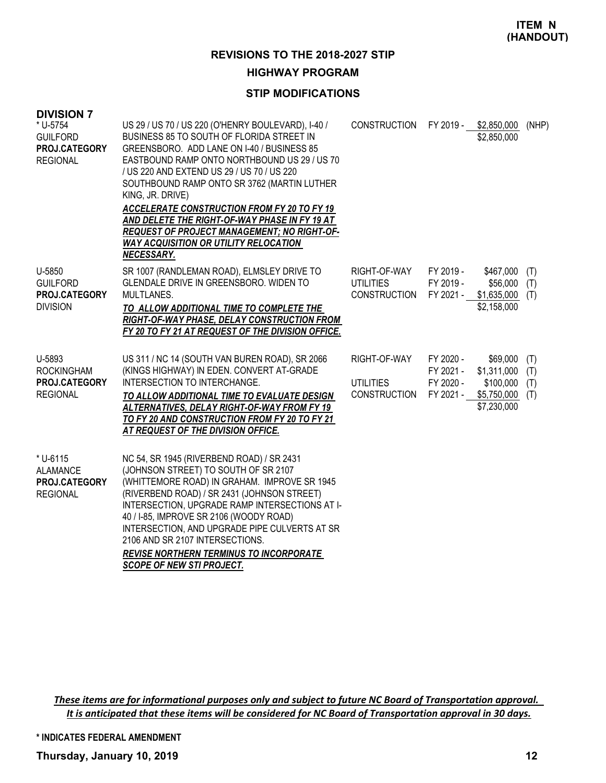**ITEM N (HANDOUT)**

**REVISIONS TO THE 2018-2027 STIP**

**HIGHWAY PROGRAM**

#### **STIP MODIFICATIONS**

| <b>DIVISION 7</b><br>* U-5754<br><b>GUILFORD</b><br>PROJ.CATEGORY<br><b>REGIONAL</b> | US 29 / US 70 / US 220 (O'HENRY BOULEVARD), I-40 /<br>BUSINESS 85 TO SOUTH OF FLORIDA STREET IN<br>GREENSBORO. ADD LANE ON 1-40 / BUSINESS 85<br>EASTBOUND RAMP ONTO NORTHBOUND US 29 / US 70<br>/ US 220 AND EXTEND US 29 / US 70 / US 220<br>SOUTHBOUND RAMP ONTO SR 3762 (MARTIN LUTHER<br>KING, JR. DRIVE)<br>ACCELERATE CONSTRUCTION FROM FY 20 TO FY 19<br>AND DELETE THE RIGHT-OF-WAY PHASE IN FY 19 AT<br><b>REQUEST OF PROJECT MANAGEMENT; NO RIGHT-OF-</b><br><b>WAY ACQUISITION OR UTILITY RELOCATION</b><br>NECESSARY. | <b>CONSTRUCTION</b>                                     |                                     | FY 2019 - \$2,850,000<br>\$2,850,000                                         | (NHP)                    |
|--------------------------------------------------------------------------------------|------------------------------------------------------------------------------------------------------------------------------------------------------------------------------------------------------------------------------------------------------------------------------------------------------------------------------------------------------------------------------------------------------------------------------------------------------------------------------------------------------------------------------------|---------------------------------------------------------|-------------------------------------|------------------------------------------------------------------------------|--------------------------|
| U-5850<br><b>GUILFORD</b><br>PROJ.CATEGORY<br><b>DIVISION</b>                        | SR 1007 (RANDLEMAN ROAD), ELMSLEY DRIVE TO<br>GLENDALE DRIVE IN GREENSBORO. WIDEN TO<br>MULTLANES.<br>TO ALLOW ADDITIONAL TIME TO COMPLETE THE<br>RIGHT-OF-WAY PHASE, DELAY CONSTRUCTION FROM<br>FY 20 TO FY 21 AT REQUEST OF THE DIVISION OFFICE.                                                                                                                                                                                                                                                                                 | RIGHT-OF-WAY<br><b>UTILITIES</b><br><b>CONSTRUCTION</b> | FY 2019 -<br>FY 2019 -              | \$467,000<br>\$56,000<br>FY 2021 - \$1,635,000<br>\$2,158,000                | (T)<br>(T)<br>(T)        |
| U-5893<br><b>ROCKINGHAM</b><br>PROJ.CATEGORY<br><b>REGIONAL</b>                      | US 311 / NC 14 (SOUTH VAN BUREN ROAD), SR 2066<br>(KINGS HIGHWAY) IN EDEN. CONVERT AT-GRADE<br>INTERSECTION TO INTERCHANGE.<br>TO ALLOW ADDITIONAL TIME TO EVALUATE DESIGN<br>ALTERNATIVES, DELAY RIGHT-OF-WAY FROM FY 19<br>TO FY 20 AND CONSTRUCTION FROM FY 20 TO FY 21<br><b>AT REQUEST OF THE DIVISION OFFICE.</b>                                                                                                                                                                                                            | RIGHT-OF-WAY<br><b>UTILITIES</b><br><b>CONSTRUCTION</b> | FY 2020 -<br>FY 2021 -<br>FY 2020 - | \$69,000<br>\$1,311,000<br>\$100,000<br>FY 2021 - \$5,750,000<br>\$7,230,000 | (T)<br>(T)<br>(T)<br>(T) |
| * U-6115<br><b>ALAMANCE</b><br>PROJ.CATEGORY<br><b>REGIONAL</b>                      | NC 54, SR 1945 (RIVERBEND ROAD) / SR 2431<br>(JOHNSON STREET) TO SOUTH OF SR 2107<br>(WHITTEMORE ROAD) IN GRAHAM. IMPROVE SR 1945<br>(RIVERBEND ROAD) / SR 2431 (JOHNSON STREET)<br>INTERSECTION, UPGRADE RAMP INTERSECTIONS AT I-<br>40 / I-85, IMPROVE SR 2106 (WOODY ROAD)<br>INTERSECTION, AND UPGRADE PIPE CULVERTS AT SR<br>2106 AND SR 2107 INTERSECTIONS.<br><b>REVISE NORTHERN TERMINUS TO INCORPORATE</b><br><b>SCOPE OF NEW STI PROJECT.</b>                                                                            |                                                         |                                     |                                                                              |                          |

*These items are for informational purposes only and subject to future NC Board of Transportation approval. It is anticipated that these items will be considered for NC Board of Transportation approval in 30 days.*

**\* INDICATES FEDERAL AMENDMENT**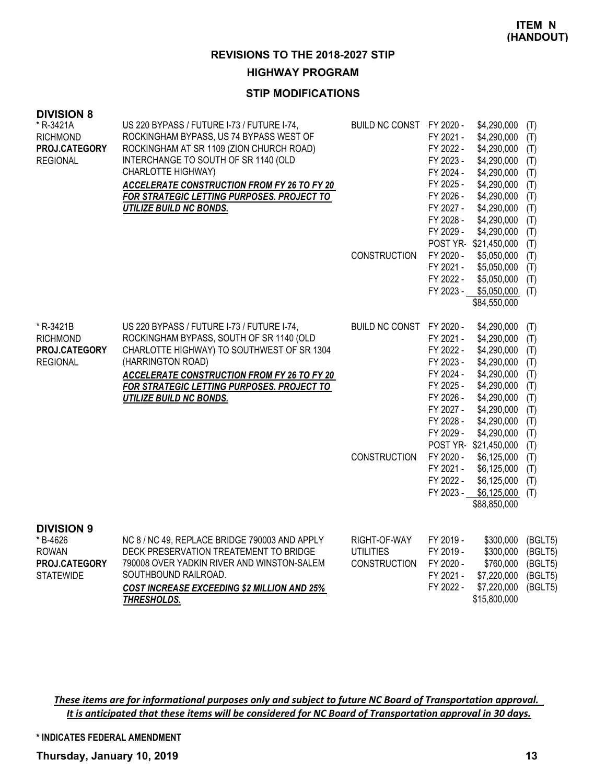#### **HIGHWAY PROGRAM**

#### **STIP MODIFICATIONS**

| <b>DIVISION 8</b> |  |
|-------------------|--|
|-------------------|--|

| <b>DIVISION 8</b><br>* R-3421A<br><b>RICHMOND</b><br>PROJ.CATEGORY<br><b>REGIONAL</b> | US 220 BYPASS / FUTURE I-73 / FUTURE I-74,<br>ROCKINGHAM BYPASS, US 74 BYPASS WEST OF<br>ROCKINGHAM AT SR 1109 (ZION CHURCH ROAD)<br>INTERCHANGE TO SOUTH OF SR 1140 (OLD<br><b>CHARLOTTE HIGHWAY)</b><br>ACCELERATE CONSTRUCTION FROM FY 26 TO FY 20<br>FOR STRATEGIC LETTING PURPOSES. PROJECT TO<br>UTILIZE BUILD NC BONDS. | BUILD NC CONST FY 2020 -<br><b>CONSTRUCTION</b>         | FY 2021 -<br>FY 2022 -<br>FY 2023 -<br>FY 2024 -<br>FY 2025 -<br>FY 2026 -<br>FY 2027 -<br>FY 2028 -<br>FY 2029 -<br>FY 2020 -<br>FY 2021 -<br>FY 2022 -<br>FY 2023 - | \$4,290,000<br>\$4,290,000<br>\$4,290,000<br>\$4,290,000<br>\$4,290,000<br>\$4,290,000<br>\$4,290,000<br>\$4,290,000<br>\$4,290,000<br>\$4,290,000<br>POST YR-\$21,450,000<br>\$5,050,000<br>\$5,050,000<br>\$5,050,000<br>\$5,050,000<br>\$84,550,000 | (T)<br>(T)<br>(T)<br>(T)<br>(T)<br>(T)<br>(T)<br>(T)<br>(T)<br>(T)<br>(T)<br>(T)<br>(T)<br>(T)<br>(T) |
|---------------------------------------------------------------------------------------|--------------------------------------------------------------------------------------------------------------------------------------------------------------------------------------------------------------------------------------------------------------------------------------------------------------------------------|---------------------------------------------------------|-----------------------------------------------------------------------------------------------------------------------------------------------------------------------|--------------------------------------------------------------------------------------------------------------------------------------------------------------------------------------------------------------------------------------------------------|-------------------------------------------------------------------------------------------------------|
| * R-3421B<br><b>RICHMOND</b><br>PROJ.CATEGORY<br><b>REGIONAL</b>                      | US 220 BYPASS / FUTURE I-73 / FUTURE I-74,<br>ROCKINGHAM BYPASS, SOUTH OF SR 1140 (OLD<br>CHARLOTTE HIGHWAY) TO SOUTHWEST OF SR 1304<br>(HARRINGTON ROAD)<br><b>ACCELERATE CONSTRUCTION FROM FY 26 TO FY 20</b><br>FOR STRATEGIC LETTING PURPOSES. PROJECT TO<br><b>UTILIZE BUILD NC BONDS.</b>                                | BUILD NC CONST FY 2020 -<br><b>CONSTRUCTION</b>         | FY 2021 -<br>FY 2022 -<br>FY 2023 -<br>FY 2024 -<br>FY 2025 -<br>FY 2026 -<br>FY 2027 -<br>FY 2028 -<br>FY 2029 -<br>FY 2020 -<br>FY 2021 -<br>FY 2022 -<br>FY 2023 - | \$4,290,000<br>\$4,290,000<br>\$4,290,000<br>\$4,290,000<br>\$4,290,000<br>\$4,290,000<br>\$4,290,000<br>\$4,290,000<br>\$4,290,000<br>\$4,290,000<br>POST YR-\$21,450,000<br>\$6,125,000<br>\$6,125,000<br>\$6,125,000<br>\$6,125,000<br>\$88,850,000 | (T)<br>(T)<br>(T)<br>(T)<br>(T)<br>(T)<br>(T)<br>(T)<br>(T)<br>(T)<br>(T)<br>(T)<br>(T)<br>(T)<br>(T) |
| <b>DIVISION 9</b><br>* B-4626<br><b>ROWAN</b><br>PROJ.CATEGORY<br><b>STATEWIDE</b>    | NC 8 / NC 49, REPLACE BRIDGE 790003 AND APPLY<br>DECK PRESERVATION TREATEMENT TO BRIDGE<br>790008 OVER YADKIN RIVER AND WINSTON-SALEM<br>SOUTHBOUND RAILROAD.<br><b>COST INCREASE EXCEEDING \$2 MILLION AND 25%</b><br>THRESHOLDS.                                                                                             | RIGHT-OF-WAY<br><b>UTILITIES</b><br><b>CONSTRUCTION</b> | FY 2019 -<br>FY 2019 -<br>FY 2020 -<br>FY 2021 -<br>FY 2022 -                                                                                                         | \$300,000<br>\$300,000<br>\$760,000<br>\$7,220,000<br>\$7,220,000<br>\$15,800,000                                                                                                                                                                      | (BGLT5)<br>(BGLT5)<br>(BGLT5)<br>(BGLT5)<br>(BGLT5)                                                   |

*These items are for informational purposes only and subject to future NC Board of Transportation approval. It is anticipated that these items will be considered for NC Board of Transportation approval in 30 days.*

**\* INDICATES FEDERAL AMENDMENT**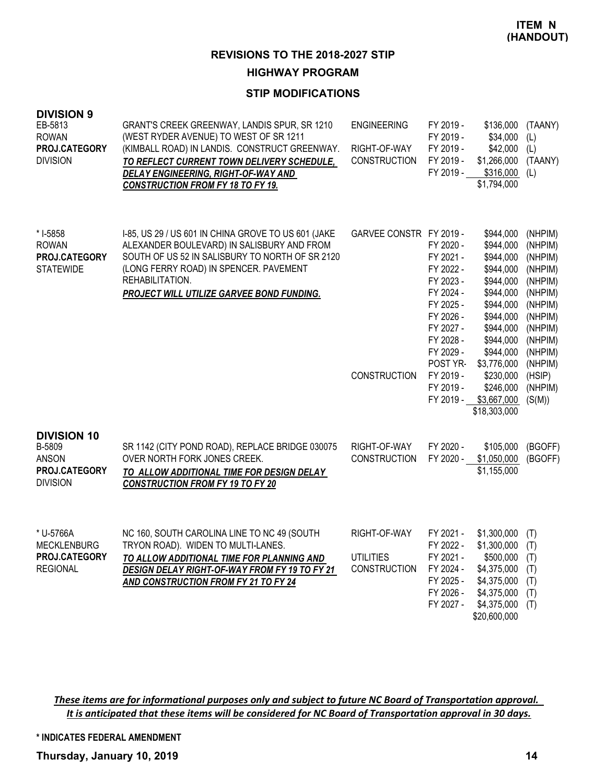**HIGHWAY PROGRAM**

### **STIP MODIFICATIONS**

| <b>DIVISION 9</b><br>EB-5813<br><b>ROWAN</b><br>PROJ.CATEGORY<br><b>DIVISION</b> | GRANT'S CREEK GREENWAY, LANDIS SPUR, SR 1210<br>(WEST RYDER AVENUE) TO WEST OF SR 1211<br>(KIMBALL ROAD) IN LANDIS. CONSTRUCT GREENWAY.<br>TO REFLECT CURRENT TOWN DELIVERY SCHEDULE,<br>DELAY ENGINEERING, RIGHT-OF-WAY AND<br><b>CONSTRUCTION FROM FY 18 TO FY 19.</b> | <b>ENGINEERING</b><br>RIGHT-OF-WAY<br><b>CONSTRUCTION</b> | FY 2019 -<br>FY 2019 -<br>FY 2019 -<br>FY 2019 -<br>FY 2019 -                                                                                                                     | \$136,000<br>\$34,000<br>\$42,000<br>\$1,266,000<br>\$316,000<br>\$1,794,000                                                                                                                                        | (TAANY)<br>(L)<br>(L)<br>(TAANY)<br>(L)                                                                                                                         |
|----------------------------------------------------------------------------------|--------------------------------------------------------------------------------------------------------------------------------------------------------------------------------------------------------------------------------------------------------------------------|-----------------------------------------------------------|-----------------------------------------------------------------------------------------------------------------------------------------------------------------------------------|---------------------------------------------------------------------------------------------------------------------------------------------------------------------------------------------------------------------|-----------------------------------------------------------------------------------------------------------------------------------------------------------------|
| * I-5858<br><b>ROWAN</b><br>PROJ.CATEGORY<br><b>STATEWIDE</b>                    | I-85, US 29 / US 601 IN CHINA GROVE TO US 601 (JAKE<br>ALEXANDER BOULEVARD) IN SALISBURY AND FROM<br>SOUTH OF US 52 IN SALISBURY TO NORTH OF SR 2120<br>(LONG FERRY ROAD) IN SPENCER. PAVEMENT<br>REHABILITATION.<br><b>PROJECT WILL UTILIZE GARVEE BOND FUNDING.</b>    | GARVEE CONSTR FY 2019 -<br><b>CONSTRUCTION</b>            | FY 2020 -<br>FY 2021 -<br>FY 2022 -<br>FY 2023 -<br>FY 2024 -<br>FY 2025 -<br>FY 2026 -<br>FY 2027 -<br>FY 2028 -<br>FY 2029 -<br>POST YR-<br>FY 2019 -<br>FY 2019 -<br>FY 2019 - | \$944,000<br>\$944,000<br>\$944,000<br>\$944,000<br>\$944,000<br>\$944,000<br>\$944,000<br>\$944.000<br>\$944,000<br>\$944,000<br>\$944,000<br>\$3,776,000<br>\$230,000<br>\$246,000<br>\$3,667,000<br>\$18,303,000 | (NHPIM)<br>(NHPIM)<br>(NHPIM)<br>(NHPIM)<br>(NHPIM)<br>(NHPIM)<br>(NHPIM)<br>(NHPIM)<br>(NHPIM)<br>(NHPIM)<br>(NHPIM)<br>(NHPIM)<br>(HSIP)<br>(NHPIM)<br>(S(M)) |
| <b>DIVISION 10</b><br>B-5809<br><b>ANSON</b><br>PROJ.CATEGORY<br><b>DIVISION</b> | SR 1142 (CITY POND ROAD), REPLACE BRIDGE 030075<br>OVER NORTH FORK JONES CREEK.<br>TO ALLOW ADDITIONAL TIME FOR DESIGN DELAY<br><b>CONSTRUCTION FROM FY 19 TO FY 20</b>                                                                                                  | RIGHT-OF-WAY<br><b>CONSTRUCTION</b>                       | FY 2020 -<br>FY 2020 -                                                                                                                                                            | \$105,000<br>\$1,050,000<br>\$1,155,000                                                                                                                                                                             | (BGOFF)<br>(BGOFF)                                                                                                                                              |
| * U-5766A<br><b>MECKLENBURG</b><br>PROJ.CATEGORY<br><b>REGIONAL</b>              | NC 160, SOUTH CAROLINA LINE TO NC 49 (SOUTH<br>TRYON ROAD). WIDEN TO MULTI-LANES.<br>TO ALLOW ADDITIONAL TIME FOR PLANNING AND<br>DESIGN DELAY RIGHT-OF-WAY FROM FY 19 TO FY 21<br>AND CONSTRUCTION FROM FY 21 TO FY 24                                                  | RIGHT-OF-WAY<br><b>UTILITIES</b><br><b>CONSTRUCTION</b>   | FY 2021 -<br>FY 2022 -<br>FY 2021 -<br>FY 2024 -<br>FY 2025 -<br>FY 2026 -<br>FY 2027 -                                                                                           | \$1,300,000<br>\$1,300,000<br>\$500,000<br>\$4,375,000<br>\$4,375,000<br>\$4,375,000<br>\$4,375,000<br>\$20,600,000                                                                                                 | (T)<br>(T)<br>(T)<br>(T)<br>(T)<br>(T)<br>(T)                                                                                                                   |

*These items are for informational purposes only and subject to future NC Board of Transportation approval. It is anticipated that these items will be considered for NC Board of Transportation approval in 30 days.*

#### **\* INDICATES FEDERAL AMENDMENT**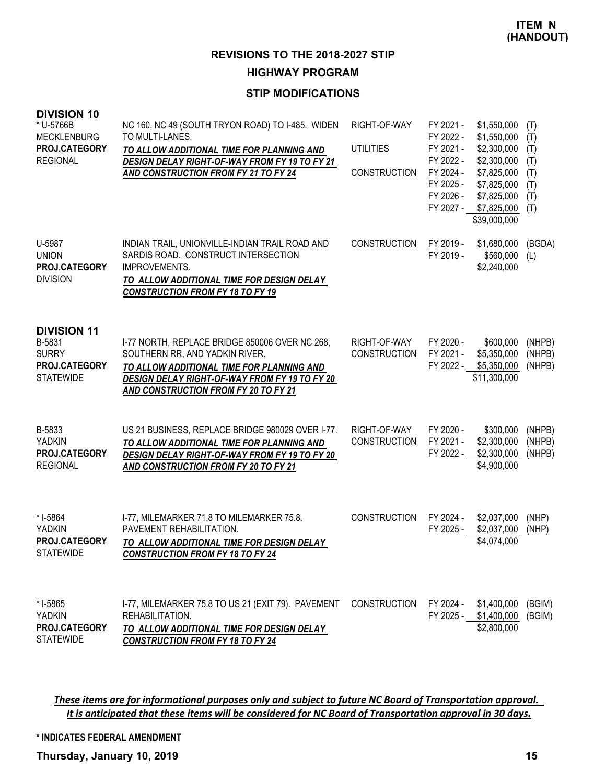**HIGHWAY PROGRAM**

### **STIP MODIFICATIONS**

| <b>DIVISION 10</b><br>* U-5766B<br><b>MECKLENBURG</b><br>PROJ.CATEGORY<br><b>REGIONAL</b> | NC 160, NC 49 (SOUTH TRYON ROAD) TO I-485. WIDEN<br>TO MULTI-LANES.<br>TO ALLOW ADDITIONAL TIME FOR PLANNING AND<br><b>DESIGN DELAY RIGHT-OF-WAY FROM FY 19 TO FY 21</b><br>AND CONSTRUCTION FROM FY 21 TO FY 24       | RIGHT-OF-WAY<br><b>UTILITIES</b><br><b>CONSTRUCTION</b> | FY 2021 -<br>FY 2022 -<br>FY 2021 -<br>FY 2022 -<br>FY 2024 -<br>FY 2025 -<br>FY 2026 -<br>FY 2027 - | \$1,550,000<br>\$1,550,000<br>\$2,300,000<br>\$2,300,000<br>\$7,825,000<br>\$7,825,000<br>\$7,825,000<br>\$7,825,000<br>\$39,000,000 | (T)<br>(T)<br>(T)<br>(T)<br>(T)<br>(T)<br>(T)<br>(T) |
|-------------------------------------------------------------------------------------------|------------------------------------------------------------------------------------------------------------------------------------------------------------------------------------------------------------------------|---------------------------------------------------------|------------------------------------------------------------------------------------------------------|--------------------------------------------------------------------------------------------------------------------------------------|------------------------------------------------------|
| U-5987<br><b>UNION</b><br>PROJ.CATEGORY<br><b>DIVISION</b>                                | INDIAN TRAIL, UNIONVILLE-INDIAN TRAIL ROAD AND<br>SARDIS ROAD. CONSTRUCT INTERSECTION<br>IMPROVEMENTS.<br>TO ALLOW ADDITIONAL TIME FOR DESIGN DELAY<br><b>CONSTRUCTION FROM FY 18 TO FY 19</b>                         | <b>CONSTRUCTION</b>                                     | FY 2019 -<br>FY 2019 -                                                                               | \$1,680,000<br>\$560,000<br>\$2,240,000                                                                                              | (BGDA)<br>(L)                                        |
| <b>DIVISION 11</b><br>B-5831<br><b>SURRY</b><br>PROJ.CATEGORY<br><b>STATEWIDE</b>         | I-77 NORTH, REPLACE BRIDGE 850006 OVER NC 268,<br>SOUTHERN RR, AND YADKIN RIVER.<br>TO ALLOW ADDITIONAL TIME FOR PLANNING AND<br>DESIGN DELAY RIGHT-OF-WAY FROM FY 19 TO FY 20<br>AND CONSTRUCTION FROM FY 20 TO FY 21 | RIGHT-OF-WAY<br>CONSTRUCTION                            | FY 2020 -<br>FY 2021 -<br>FY 2022 -                                                                  | \$600,000<br>\$5,350,000<br>\$5,350,000<br>\$11,300,000                                                                              | (NHPB)<br>(NHPB)<br>(NHPB)                           |
| B-5833<br><b>YADKIN</b><br>PROJ.CATEGORY<br><b>REGIONAL</b>                               | US 21 BUSINESS, REPLACE BRIDGE 980029 OVER I-77.<br>TO ALLOW ADDITIONAL TIME FOR PLANNING AND<br>DESIGN DELAY RIGHT-OF-WAY FROM FY 19 TO FY 20<br><b>AND CONSTRUCTION FROM FY 20 TO FY 21</b>                          | RIGHT-OF-WAY<br><b>CONSTRUCTION</b>                     | FY 2020 -<br>FY 2021 -<br>FY 2022 -                                                                  | \$300,000<br>\$2,300,000<br>\$2,300,000<br>\$4,900,000                                                                               | (NHPB)<br>(NHPB)<br>(NHPB)                           |
| * I-5864<br><b>YADKIN</b><br>PROJ.CATEGORY<br><b>STATEWIDE</b>                            | I-77, MILEMARKER 71.8 TO MILEMARKER 75.8.<br>PAVEMENT REHABILITATION.<br>TO ALLOW ADDITIONAL TIME FOR DESIGN DELAY<br><u>CONSTRUCTION FROM FY 18 TO FY 24</u>                                                          | CONSTRUCTION                                            | FY 2024 -<br>FY 2025 -                                                                               | \$2,037,000<br>\$2,037,000<br>\$4,074,000                                                                                            | (NHP)<br>(NHP)                                       |
| * I-5865<br><b>YADKIN</b><br>PROJ.CATEGORY<br><b>STATEWIDE</b>                            | I-77, MILEMARKER 75.8 TO US 21 (EXIT 79). PAVEMENT<br>REHABILITATION.<br>TO ALLOW ADDITIONAL TIME FOR DESIGN DELAY<br><b>CONSTRUCTION FROM FY 18 TO FY 24</b>                                                          | <b>CONSTRUCTION</b>                                     | FY 2024 -<br>FY 2025 -                                                                               | \$1,400,000<br>\$1,400,000<br>\$2,800,000                                                                                            | (BGIM)<br>(BGIM)                                     |

*These items are for informational purposes only and subject to future NC Board of Transportation approval. It is anticipated that these items will be considered for NC Board of Transportation approval in 30 days.*

**\* INDICATES FEDERAL AMENDMENT**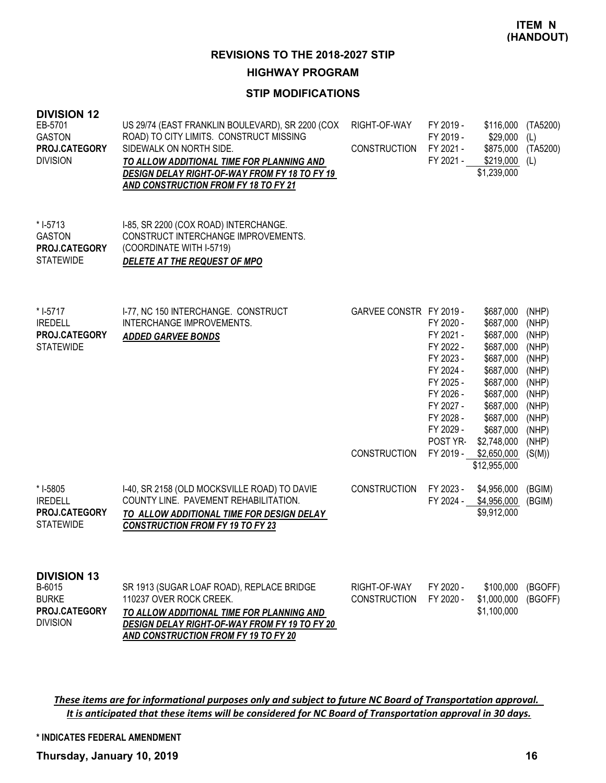#### **HIGHWAY PROGRAM**

#### **STIP MODIFICATIONS**

| <b>DIVISION 12</b><br>EB-5701<br><b>GASTON</b><br>PROJ.CATEGORY<br><b>DIVISION</b> | US 29/74 (EAST FRANKLIN BOULEVARD), SR 2200 (COX<br>ROAD) TO CITY LIMITS. CONSTRUCT MISSING<br>SIDEWALK ON NORTH SIDE.<br>TO ALLOW ADDITIONAL TIME FOR PLANNING AND<br>DESIGN DELAY RIGHT-OF-WAY FROM FY 18 TO FY 19<br><b>AND CONSTRUCTION FROM FY 18 TO FY 21</b> | RIGHT-OF-WAY<br><b>CONSTRUCTION</b>            | FY 2019 -<br>FY 2019 -<br>FY 2021 -<br>FY 2021 -                                                                                                        | \$116,000<br>\$29,000<br>\$875,000<br>\$219,000<br>\$1,239,000                                                                                                                            | (TA5200)<br>(L)<br>(TA5200)<br>(L)                                                                                 |
|------------------------------------------------------------------------------------|---------------------------------------------------------------------------------------------------------------------------------------------------------------------------------------------------------------------------------------------------------------------|------------------------------------------------|---------------------------------------------------------------------------------------------------------------------------------------------------------|-------------------------------------------------------------------------------------------------------------------------------------------------------------------------------------------|--------------------------------------------------------------------------------------------------------------------|
| * I-5713<br><b>GASTON</b><br>PROJ.CATEGORY<br><b>STATEWIDE</b>                     | I-85, SR 2200 (COX ROAD) INTERCHANGE.<br>CONSTRUCT INTERCHANGE IMPROVEMENTS.<br>(COORDINATE WITH I-5719)<br>DELETE AT THE REQUEST OF MPO                                                                                                                            |                                                |                                                                                                                                                         |                                                                                                                                                                                           |                                                                                                                    |
| $* I-5717$<br><b>IREDELL</b><br><b>PROJ.CATEGORY</b><br><b>STATEWIDE</b>           | I-77, NC 150 INTERCHANGE. CONSTRUCT<br>INTERCHANGE IMPROVEMENTS.<br><b>ADDED GARVEE BONDS</b>                                                                                                                                                                       | GARVEE CONSTR FY 2019 -<br><b>CONSTRUCTION</b> | FY 2020 -<br>FY 2021 -<br>FY 2022 -<br>FY 2023 -<br>FY 2024 -<br>FY 2025 -<br>FY 2026 -<br>FY 2027 -<br>FY 2028 -<br>FY 2029 -<br>POST YR-<br>FY 2019 - | \$687,000<br>\$687,000<br>\$687,000<br>\$687,000<br>\$687,000<br>\$687,000<br>\$687,000<br>\$687,000<br>\$687,000<br>\$687,000<br>\$687,000<br>\$2,748,000<br>\$2,650,000<br>\$12,955,000 | (NHP)<br>(NHP)<br>(NHP)<br>(NHP)<br>(NHP)<br>(NHP)<br>(NHP)<br>(NHP)<br>(NHP)<br>(NHP)<br>(NHP)<br>(NHP)<br>(S(M)) |
| * I-5805<br><b>IREDELL</b><br><b>PROJ.CATEGORY</b><br><b>STATEWIDE</b>             | I-40, SR 2158 (OLD MOCKSVILLE ROAD) TO DAVIE<br>COUNTY LINE. PAVEMENT REHABILITATION.<br>TO ALLOW ADDITIONAL TIME FOR DESIGN DELAY<br><b>CONSTRUCTION FROM FY 19 TO FY 23</b>                                                                                       | <b>CONSTRUCTION</b>                            | FY 2023 -<br>FY 2024 -                                                                                                                                  | \$4,956,000<br>\$4,956,000<br>\$9,912,000                                                                                                                                                 | (BGIM)<br>(BGIM)                                                                                                   |
| <b>DIVISION 13</b><br>B-6015<br><b>BURKE</b><br>PROJ.CATEGORY<br><b>DIVISION</b>   | SR 1913 (SUGAR LOAF ROAD), REPLACE BRIDGE<br>110237 OVER ROCK CREEK.<br>TO ALLOW ADDITIONAL TIME FOR PLANNING AND<br>DESIGN DELAY RIGHT-OF-WAY FROM FY 19 TO FY 20<br>AND CONSTRUCTION FROM FY 19 TO FY 20                                                          | RIGHT-OF-WAY<br><b>CONSTRUCTION</b>            | FY 2020 -<br>FY 2020 -                                                                                                                                  | \$100,000<br>\$1,000,000<br>\$1,100,000                                                                                                                                                   | (BGOFF)<br>(BGOFF)                                                                                                 |

*These items are for informational purposes only and subject to future NC Board of Transportation approval. It is anticipated that these items will be considered for NC Board of Transportation approval in 30 days.*

**\* INDICATES FEDERAL AMENDMENT**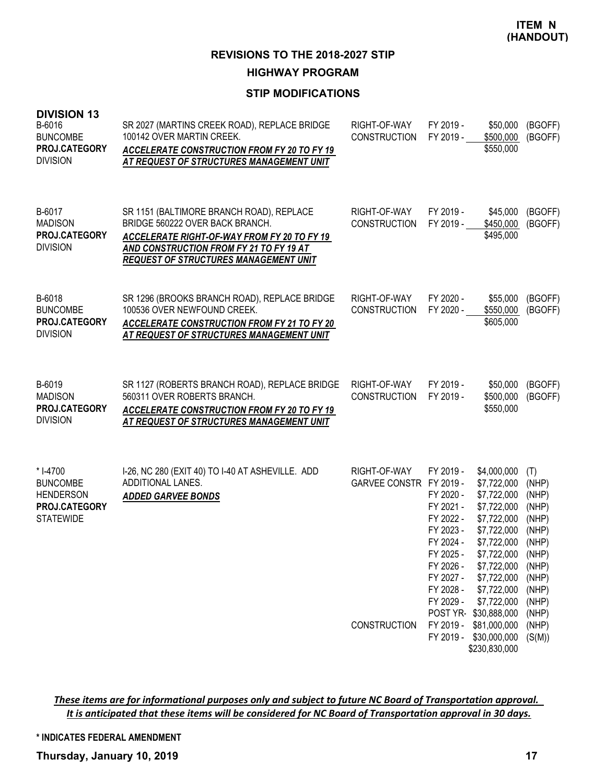**HIGHWAY PROGRAM**

### **STIP MODIFICATIONS**

| <b>DIVISION 13</b><br>B-6016<br><b>BUNCOMBE</b><br>PROJ.CATEGORY<br><b>DIVISION</b>  | SR 2027 (MARTINS CREEK ROAD), REPLACE BRIDGE<br>100142 OVER MARTIN CREEK.<br><b>ACCELERATE CONSTRUCTION FROM FY 20 TO FY 19</b><br>AT REQUEST OF STRUCTURES MANAGEMENT UNIT                                                  | RIGHT-OF-WAY<br><b>CONSTRUCTION</b>                  | FY 2019 -<br>FY 2019 -                                                                                                                                                                         | \$50,000<br>\$500,000<br>\$550,000                                                                                                                                                                                                                | (BGOFF)<br>(BGOFF)                                                                                                                 |
|--------------------------------------------------------------------------------------|------------------------------------------------------------------------------------------------------------------------------------------------------------------------------------------------------------------------------|------------------------------------------------------|------------------------------------------------------------------------------------------------------------------------------------------------------------------------------------------------|---------------------------------------------------------------------------------------------------------------------------------------------------------------------------------------------------------------------------------------------------|------------------------------------------------------------------------------------------------------------------------------------|
| B-6017<br><b>MADISON</b><br>PROJ.CATEGORY<br><b>DIVISION</b>                         | SR 1151 (BALTIMORE BRANCH ROAD), REPLACE<br>BRIDGE 560222 OVER BACK BRANCH.<br><b>ACCELERATE RIGHT-OF-WAY FROM FY 20 TO FY 19</b><br>AND CONSTRUCTION FROM FY 21 TO FY 19 AT<br><b>REQUEST OF STRUCTURES MANAGEMENT UNIT</b> | RIGHT-OF-WAY<br><b>CONSTRUCTION</b>                  | FY 2019 -<br>FY 2019 -                                                                                                                                                                         | \$45,000<br>\$450,000<br>\$495,000                                                                                                                                                                                                                | (BGOFF)<br>(BGOFF)                                                                                                                 |
| B-6018<br><b>BUNCOMBE</b><br>PROJ.CATEGORY<br><b>DIVISION</b>                        | SR 1296 (BROOKS BRANCH ROAD), REPLACE BRIDGE<br>100536 OVER NEWFOUND CREEK.<br><b>ACCELERATE CONSTRUCTION FROM FY 21 TO FY 20</b><br>AT REQUEST OF STRUCTURES MANAGEMENT UNIT                                                | RIGHT-OF-WAY<br><b>CONSTRUCTION</b>                  | FY 2020 -<br>FY 2020 -                                                                                                                                                                         | \$55,000<br>\$550,000<br>\$605,000                                                                                                                                                                                                                | (BGOFF)<br>(BGOFF)                                                                                                                 |
| B-6019<br><b>MADISON</b><br>PROJ.CATEGORY<br><b>DIVISION</b>                         | SR 1127 (ROBERTS BRANCH ROAD), REPLACE BRIDGE<br>560311 OVER ROBERTS BRANCH.<br>ACCELERATE CONSTRUCTION FROM FY 20 TO FY 19<br>AT REQUEST OF STRUCTURES MANAGEMENT UNIT                                                      | RIGHT-OF-WAY<br><b>CONSTRUCTION</b>                  | FY 2019 -<br>FY 2019 -                                                                                                                                                                         | \$50,000<br>\$500,000<br>\$550,000                                                                                                                                                                                                                | (BGOFF)<br>(BGOFF)                                                                                                                 |
| * I-4700<br><b>BUNCOMBE</b><br><b>HENDERSON</b><br>PROJ.CATEGORY<br><b>STATEWIDE</b> | I-26, NC 280 (EXIT 40) TO I-40 AT ASHEVILLE. ADD<br>ADDITIONAL LANES.<br><b>ADDED GARVEE BONDS</b>                                                                                                                           | RIGHT-OF-WAY<br><b>GARVEE CONSTR</b><br>CONSTRUCTION | FY 2019 -<br>FY 2019 -<br>FY 2020 -<br>FY 2021 -<br>FY 2022 -<br>FY 2023 -<br>FY 2024 -<br>FY 2025 -<br>FY 2026 -<br>FY 2027 -<br>FY 2028 -<br>FY 2029 -<br>POST YR-<br>FY 2019 -<br>FY 2019 - | \$4,000,000<br>\$7,722,000<br>\$7,722,000<br>\$7,722,000<br>\$7,722,000<br>\$7,722,000<br>\$7,722,000<br>\$7,722,000<br>\$7,722,000<br>\$7,722,000<br>\$7,722,000<br>\$7,722,000<br>\$30,888,000<br>\$81,000,000<br>\$30,000,000<br>\$230,830,000 | (T)<br>(NHP)<br>(NHP)<br>(NHP)<br>(NHP)<br>(NHP)<br>(NHP)<br>(NHP)<br>(NHP)<br>(NHP)<br>(NHP)<br>(NHP)<br>(NHP)<br>(NHP)<br>(S(M)) |

*These items are for informational purposes only and subject to future NC Board of Transportation approval. It is anticipated that these items will be considered for NC Board of Transportation approval in 30 days.*

**\* INDICATES FEDERAL AMENDMENT**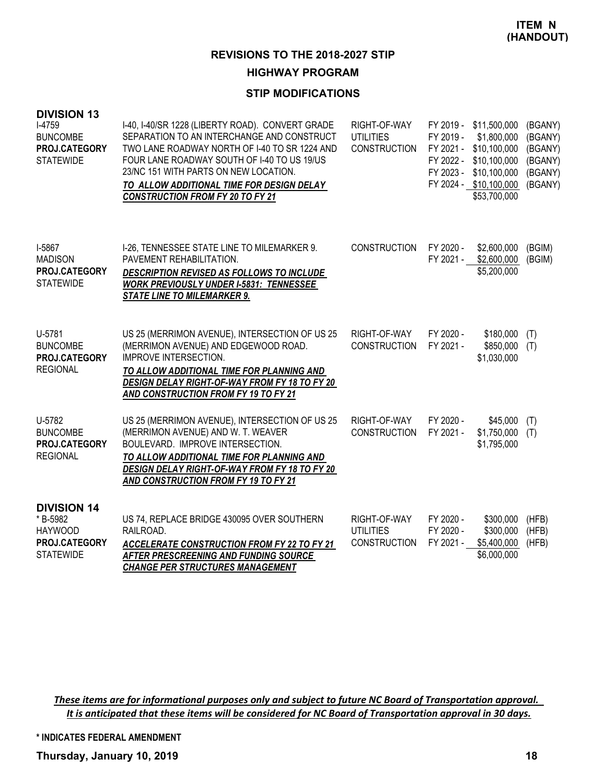#### **HIGHWAY PROGRAM**

#### **STIP MODIFICATIONS**

| <b>DIVISION 13</b><br>I-4759<br><b>BUNCOMBE</b><br>PROJ.CATEGORY<br><b>STATEWIDE</b>  | I-40, I-40/SR 1228 (LIBERTY ROAD). CONVERT GRADE<br>SEPARATION TO AN INTERCHANGE AND CONSTRUCT<br>TWO LANE ROADWAY NORTH OF 1-40 TO SR 1224 AND<br>FOUR LANE ROADWAY SOUTH OF I-40 TO US 19/US<br>23/NC 151 WITH PARTS ON NEW LOCATION.<br>TO ALLOW ADDITIONAL TIME FOR DESIGN DELAY<br><b>CONSTRUCTION FROM FY 20 TO FY 21</b> | RIGHT-OF-WAY<br><b>UTILITIES</b><br><b>CONSTRUCTION</b> | FY 2019 -<br>FY 2019 -<br>FY 2021 -<br>FY 2022 -<br>FY 2023 - | \$11,500,000<br>\$1,800,000<br>\$10,100,000<br>\$10,100,000<br>\$10,100,000<br>FY 2024 - \$10,100,000<br>\$53,700,000 | (BGANY)<br>(BGANY)<br>(BGANY)<br>(BGANY)<br>(BGANY)<br>(BGANY) |
|---------------------------------------------------------------------------------------|---------------------------------------------------------------------------------------------------------------------------------------------------------------------------------------------------------------------------------------------------------------------------------------------------------------------------------|---------------------------------------------------------|---------------------------------------------------------------|-----------------------------------------------------------------------------------------------------------------------|----------------------------------------------------------------|
| I-5867<br><b>MADISON</b><br>PROJ.CATEGORY<br><b>STATEWIDE</b>                         | I-26, TENNESSEE STATE LINE TO MILEMARKER 9.<br>PAVEMENT REHABILITATION.<br>DESCRIPTION REVISED AS FOLLOWS TO INCLUDE<br><b>WORK PREVIOUSLY UNDER I-5831: TENNESSEE</b><br><b>STATE LINE TO MILEMARKER 9.</b>                                                                                                                    | <b>CONSTRUCTION</b>                                     | FY 2020 -<br>FY 2021 -                                        | \$2,600,000<br>\$2,600,000<br>\$5,200,000                                                                             | (BGIM)<br>(BGIM)                                               |
| U-5781<br><b>BUNCOMBE</b><br>PROJ.CATEGORY<br><b>REGIONAL</b>                         | US 25 (MERRIMON AVENUE), INTERSECTION OF US 25<br>(MERRIMON AVENUE) AND EDGEWOOD ROAD.<br><b>IMPROVE INTERSECTION.</b><br>TO ALLOW ADDITIONAL TIME FOR PLANNING AND<br><b>DESIGN DELAY RIGHT-OF-WAY FROM FY 18 TO FY 20</b><br>AND CONSTRUCTION FROM FY 19 TO FY 21                                                             | RIGHT-OF-WAY<br><b>CONSTRUCTION</b>                     | FY 2020 -<br>FY 2021 -                                        | \$180,000<br>\$850,000<br>\$1,030,000                                                                                 | (T)<br>(T)                                                     |
| U-5782<br><b>BUNCOMBE</b><br>PROJ.CATEGORY<br><b>REGIONAL</b>                         | US 25 (MERRIMON AVENUE), INTERSECTION OF US 25<br>(MERRIMON AVENUE) AND W. T. WEAVER<br>BOULEVARD. IMPROVE INTERSECTION.<br>TO ALLOW ADDITIONAL TIME FOR PLANNING AND<br><b>DESIGN DELAY RIGHT-OF-WAY FROM FY 18 TO FY 20</b><br>AND CONSTRUCTION FROM FY 19 TO FY 21                                                           | RIGHT-OF-WAY<br><b>CONSTRUCTION</b>                     | FY 2020 -<br>FY 2021 -                                        | \$45,000<br>\$1,750,000<br>\$1,795,000                                                                                | (T)<br>(T)                                                     |
| <b>DIVISION 14</b><br>* B-5982<br><b>HAYWOOD</b><br>PROJ.CATEGORY<br><b>STATEWIDE</b> | US 74, REPLACE BRIDGE 430095 OVER SOUTHERN<br>RAILROAD.<br><b>ACCELERATE CONSTRUCTION FROM FY 22 TO FY 21</b><br><b>AFTER PRESCREENING AND FUNDING SOURCE</b><br><b>CHANGE PER STRUCTURES MANAGEMENT</b>                                                                                                                        | RIGHT-OF-WAY<br><b>UTILITIES</b><br><b>CONSTRUCTION</b> | FY 2020 -<br>FY 2020 -<br>FY 2021 -                           | \$300,000<br>\$300,000<br>\$5,400,000<br>\$6,000,000                                                                  | (HFB)<br>(HFB)<br>(HFB)                                        |

*These items are for informational purposes only and subject to future NC Board of Transportation approval. It is anticipated that these items will be considered for NC Board of Transportation approval in 30 days.*

**\* INDICATES FEDERAL AMENDMENT**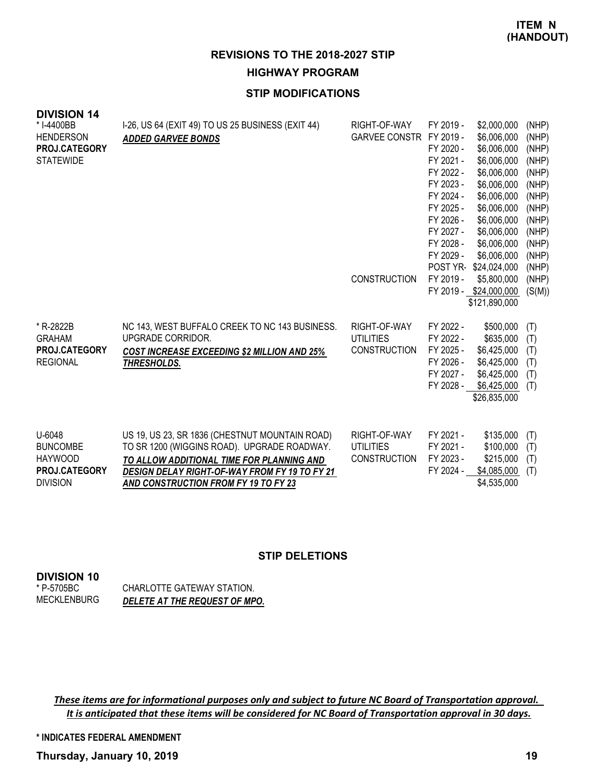### **REVISIONS TO THE 2018-2027 STIP HIGHWAY PROGRAM**

### **STIP MODIFICATIONS**

| <b>DIVISION 14</b>                                                  |                                                                                                                                                                                                    |                                                         |                                                                                                                                |                                                                                                                                                                   |                                                                                                 |
|---------------------------------------------------------------------|----------------------------------------------------------------------------------------------------------------------------------------------------------------------------------------------------|---------------------------------------------------------|--------------------------------------------------------------------------------------------------------------------------------|-------------------------------------------------------------------------------------------------------------------------------------------------------------------|-------------------------------------------------------------------------------------------------|
| * I-4400BB<br><b>HENDERSON</b><br>PROJ.CATEGORY<br><b>STATEWIDE</b> | I-26, US 64 (EXIT 49) TO US 25 BUSINESS (EXIT 44)<br><b>ADDED GARVEE BONDS</b>                                                                                                                     | RIGHT-OF-WAY<br>GARVEE CONSTR FY 2019 -                 | FY 2019 -<br>FY 2020 -<br>FY 2021 -<br>FY 2022 -<br>FY 2023 -<br>FY 2024 -<br>FY 2025 -<br>FY 2026 -<br>FY 2027 -<br>FY 2028 - | \$2,000,000<br>\$6,006,000<br>\$6,006,000<br>\$6,006,000<br>\$6,006,000<br>\$6,006,000<br>\$6,006,000<br>\$6,006,000<br>\$6,006,000<br>\$6,006,000<br>\$6,006,000 | (NHP)<br>(NHP)<br>(NHP)<br>(NHP)<br>(NHP)<br>(NHP)<br>(NHP)<br>(NHP)<br>(NHP)<br>(NHP)<br>(NHP) |
|                                                                     |                                                                                                                                                                                                    | <b>CONSTRUCTION</b>                                     | FY 2029 -<br>POST YR-<br>FY 2019 -                                                                                             | \$6,006,000<br>\$24,024,000<br>\$5,800,000<br>FY 2019 - \$24,000,000<br>\$121,890,000                                                                             | (NHP)<br>(NHP)<br>(NHP)<br>(S(M))                                                               |
| * R-2822B<br><b>GRAHAM</b><br>PROJ.CATEGORY<br><b>REGIONAL</b>      | NC 143, WEST BUFFALO CREEK TO NC 143 BUSINESS.<br>UPGRADE CORRIDOR.<br><b>COST INCREASE EXCEEDING \$2 MILLION AND 25%</b><br>THRESHOLDS.                                                           | RIGHT-OF-WAY<br><b>UTILITIES</b><br><b>CONSTRUCTION</b> | FY 2022 -<br>FY 2022 -<br>FY 2025 -<br>FY 2026 -<br>FY 2027 -<br>FY 2028 -                                                     | \$500,000<br>\$635,000<br>\$6,425,000<br>\$6,425,000<br>\$6,425,000<br>\$6,425,000<br>\$26,835,000                                                                | (T)<br>(T)<br>(T)<br>(T)<br>(T)<br>(T)                                                          |
| U-6048<br><b>BUNCOMBE</b><br><b>HAYWOOD</b><br>PROJ.CATEGORY        | US 19, US 23, SR 1836 (CHESTNUT MOUNTAIN ROAD)<br>TO SR 1200 (WIGGINS ROAD). UPGRADE ROADWAY.<br>TO ALLOW ADDITIONAL TIME FOR PLANNING AND<br><b>DESIGN DELAY RIGHT-OF-WAY FROM FY 19 TO FY 21</b> | RIGHT-OF-WAY<br><b>UTILITIES</b><br><b>CONSTRUCTION</b> | FY 2021 -<br>FY 2021 -<br>FY 2023 -<br>FY 2024 -                                                                               | \$135,000<br>\$100,000<br>\$215,000<br>\$4,085,000                                                                                                                | (T)<br>(T)<br>(T)<br>(T)                                                                        |

#### **STIP DELETIONS**

#### **DIVISION 10**

DIVISION

| * P-5705BC  | CHARLOTTE GATEWAY STATION.           |
|-------------|--------------------------------------|
| MECKLENBURG | <b>DELETE AT THE REQUEST OF MPO.</b> |

*AND CONSTRUCTION FROM FY 19 TO FY 23*

*These items are for informational purposes only and subject to future NC Board of Transportation approval. It is anticipated that these items will be considered for NC Board of Transportation approval in 30 days.*

**\* INDICATES FEDERAL AMENDMENT**

**Thursday, January 10, 2019 19**

\$4,535,000